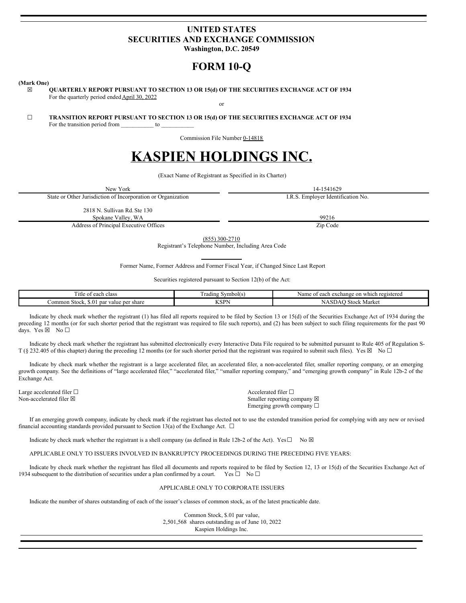## **UNITED STATES SECURITIES AND EXCHANGE COMMISSION Washington, D.C. 20549**

## **FORM 10-Q**

## <span id="page-0-0"></span>**(Mark One)**

☒ **QUARTERLY REPORT PURSUANT TO SECTION 13 OR 15(d) OF THE SECURITIES EXCHANGE ACT OF 1934** For the quarterly period ended April 30, 2022

or

☐ **TRANSITION REPORT PURSUANT TO SECTION 13 OR 15(d) OF THE SECURITIES EXCHANGE ACT OF 1934** For the transition period from to

Commission File Number 0-14818

# **KASPIEN HOLDINGS INC.**

(Exact Name of Registrant as Specified in its Charter)

New York 14-1541629 State or Other Jurisdiction of Incorporation or Organization I.R.S. Employer Identification No. 2818 N. Sullivan Rd. Ste 130 Spokane Valley, WA 99216

Address of Principal Executive Offices **Zip Code Zip Code** 

(855) 300-2710

Registrant's Telephone Number, Including Area Code

Former Name, Former Address and Former Fiscal Year, if Changed Since Last Report

Securities registered pursuant to Section 12(b) of the Act:

| — ·<br>l'itle of<br>∶each class                         | 1 rading<br>Symbol(s) | on which registered<br>Name<br>each exchange<br>$\mathbf{U}$ |
|---------------------------------------------------------|-----------------------|--------------------------------------------------------------|
| share<br>1 Stock.<br>value<br>.ommon<br>ner<br>nar<br>U | <b>V CDN</b><br>NOT   | Stock<br>Market                                              |

Indicate by check mark whether the registrant (1) has filed all reports required to be filed by Section 13 or 15(d) of the Securities Exchange Act of 1934 during the preceding 12 months (or for such shorter period that the registrant was required to file such reports), and (2) has been subject to such filing requirements for the past 90 days. Yes ⊠ No □

Indicate by check mark whether the registrant has submitted electronically every Interactive Data File required to be submitted pursuant to Rule 405 of Regulation S-T (§ 232.405 of this chapter) during the preceding 12 months (or for such shorter period that the registrant was required to submit such files). Yes  $\boxtimes$  No  $\Box$ 

Indicate by check mark whether the registrant is a large accelerated filer, an accelerated filer, a non-accelerated filer, smaller reporting company, or an emerging growth company. See the definitions of "large accelerated filer," "accelerated filer," "smaller reporting company," and "emerging growth company" in Rule 12b-2 of the Exchange Act.

Large accelerated filer □<br>
Non-accelerated filer □<br>
Smaller reporting complexes and the matrix of the Smaller reporting complexes are set of the Smaller reporting complexes and the Smaller reporting complexes are set of t

Smaller reporting company  $\boxtimes$ Emerging growth company ☐

If an emerging growth company, indicate by check mark if the registrant has elected not to use the extended transition period for complying with any new or revised financial accounting standards provided pursuant to Section 13(a) of the Exchange Act.  $\Box$ 

Indicate by check mark whether the registrant is a shell company (as defined in Rule 12b-2 of the Act). Yes $\square$  No  $\boxtimes$ 

APPLICABLE ONLY TO ISSUERS INVOLVED IN BANKRUPTCY PROCEEDINGS DURING THE PRECEDING FIVE YEARS:

Indicate by check mark whether the registrant has filed all documents and reports required to be filed by Section 12, 13 or 15(d) of the Securities Exchange Act of 1934 subsequent to the distribution of securities under a plan confirmed by a court. Yes  $\Box$  No  $\Box$ 

#### APPLICABLE ONLY TO CORPORATE ISSUERS

Indicate the number of shares outstanding of each of the issuer's classes of common stock, as of the latest practicable date.

Common Stock, \$.01 par value, 2,501,568 shares outstanding as of June 10, 2022 Kaspien Holdings Inc.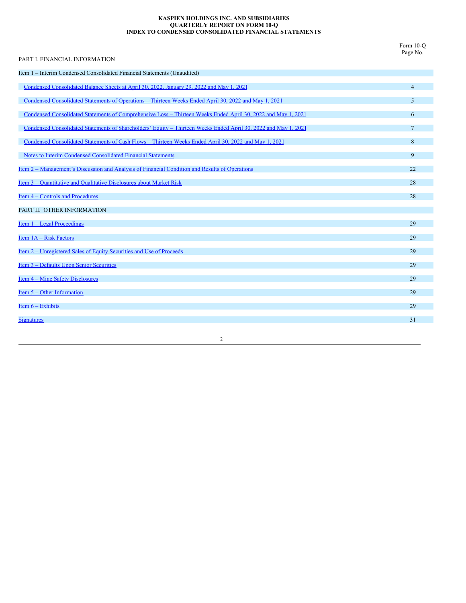#### **KASPIEN HOLDINGS INC. AND SUBSIDIARIES QUARTERLY REPORT ON FORM 10-Q INDEX TO CONDENSED CONSOLIDATED FINANCIAL STATEMENTS**

Form 10-Q Page No.

| PART I. FINANCIAL INFORMATION                                                                                   | 1.452110       |
|-----------------------------------------------------------------------------------------------------------------|----------------|
| Item 1 – Interim Condensed Consolidated Financial Statements (Unaudited)                                        |                |
| Condensed Consolidated Balance Sheets at April 30, 2022, January 29, 2022 and May 1, 2021                       | $\overline{4}$ |
| Condensed Consolidated Statements of Operations – Thirteen Weeks Ended April 30, 2022 and May 1, 2021           | 5              |
| Condensed Consolidated Statements of Comprehensive Loss – Thirteen Weeks Ended April 30, 2022 and May 1, 2021   | 6              |
| Condensed Consolidated Statements of Shareholders' Equity – Thirteen Weeks Ended April 30, 2022 and May 1, 2021 | 7              |
| Condensed Consolidated Statements of Cash Flows – Thirteen Weeks Ended April 30, 2022 and May 1, 2021           | 8              |
| Notes to Interim Condensed Consolidated Financial Statements                                                    | 9              |
| Item 2 – Management's Discussion and Analysis of Financial Condition and Results of Operations                  | 22             |
| Item 3 – Quantitative and Qualitative Disclosures about Market Risk                                             | 28             |
| Item 4 – Controls and Procedures                                                                                | 28             |
| PART II. OTHER INFORMATION                                                                                      |                |
| Item $1 -$ Legal Proceedings                                                                                    | 29             |
| Item 1A - Risk Factors                                                                                          | 29             |
| Item 2 – Unregistered Sales of Equity Securities and Use of Proceeds                                            | 29             |
| Item 3 – Defaults Upon Senior Securities                                                                        | 29             |
| Item 4 – Mine Safety Disclosures                                                                                | 29             |
| Item $5 -$ Other Information                                                                                    | 29             |
| Item $6 -$ Exhibits                                                                                             | 29             |
| <b>Signatures</b>                                                                                               | 31             |
|                                                                                                                 |                |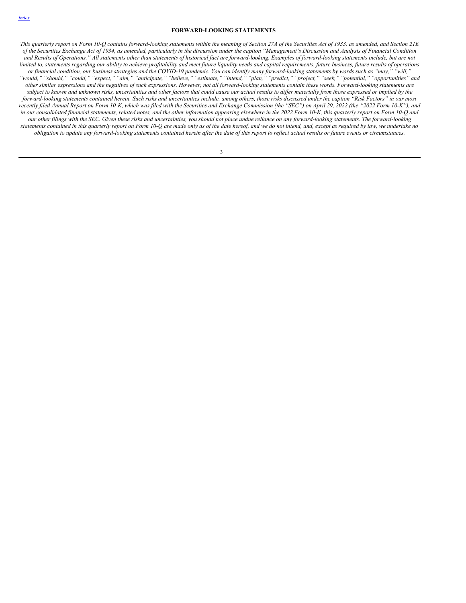## **FORWARD-LOOKING STATEMENTS**

This quarterly report on Form 10-Q contains forward-looking statements within the meaning of Section 27A of the Securities Act of 1933, as amended, and Section 21E of the Securities Exchange Act of 1934, as amended, particularly in the discussion under the caption "Management's Discussion and Analysis of Financial Condition and Results of Operations." All statements other than statements of historical fact are forward-looking. Examples of forward-looking statements include, but are not limited to, statements regarding our ability to achieve profitability and meet future liquidity needs and capital requirements, future business, future results of operations<br>or financial condition, our business strategies or financial condition, our business strategies and the COVID-19 pandemic. You can identify many forward-looking statements by words such as "may," "would," "should," "could," "expect," "aim," "anticipate," "believe," "estimate," "intend," "plan," "predict," "project," "seek," "potential," "opportunities" and other similar expressions and the negatives of such expressions. However, not all forward-looking statements contain these words. Forward-looking statements are subject to known and unknown risks, uncertainties and other factors that could cause our actual results to differ materially from those expressed or implied by the forward-looking statements contained herein. Such risks and uncertainties include, among others, those risks discussed under the caption "Risk Factors" in our most recently filed Annual Report on Form 10-K, which was filed with the Securities and Exchange Commission (the "SEC") on April 29, 2022 (the "2022 Form 10-K"), and in our consolidated financial statements, related notes, and the other information appearing elsewhere in the 2022 Form 10-K, this quarterly report on Form 10-Q and our other filings with the SEC. Given these risks and uncertainties, you should not place undue reliance on any forward-looking statements. The forward-looking statements contained in this quarterly report on Form 10-Q are made only as of the date hereof, and we do not intend, and, except as required by law, we undertake no obligation to update any forward-looking statements contained herein after the date of this report to reflect actual results or future events or circumstances.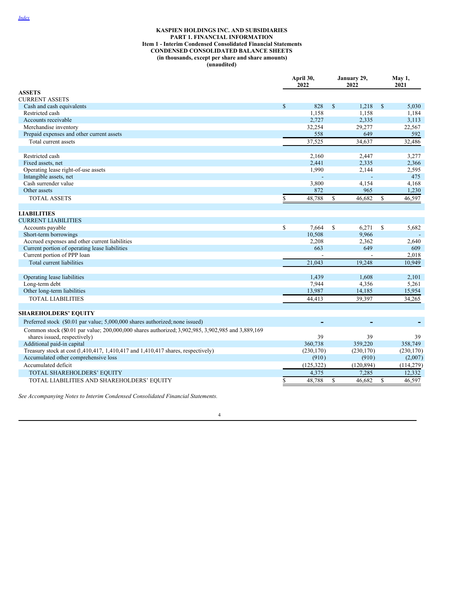<span id="page-3-0"></span>

|                                                                                                                                   |             | April 30,<br>2022 |              | January 29,<br>2022 |              | May 1,<br>2021 |
|-----------------------------------------------------------------------------------------------------------------------------------|-------------|-------------------|--------------|---------------------|--------------|----------------|
| <b>ASSETS</b>                                                                                                                     |             |                   |              |                     |              |                |
| <b>CURRENT ASSETS</b>                                                                                                             |             |                   |              |                     |              |                |
| Cash and cash equivalents                                                                                                         | $\mathbf S$ | 828               | $\mathbb{S}$ | 1.218               | $\mathbb{S}$ | 5,030          |
| Restricted cash                                                                                                                   |             | 1,158             |              | 1,158               |              | 1,184          |
| Accounts receivable                                                                                                               |             | 2,727             |              | 2,335               |              | 3,113          |
| Merchandise inventory                                                                                                             |             | 32,254            |              | 29,277              |              | 22,567         |
| Prepaid expenses and other current assets                                                                                         |             | 558               |              | 649                 |              | 592            |
| Total current assets                                                                                                              |             | 37.525            |              | 34.637              |              | 32.486         |
| Restricted cash                                                                                                                   |             | 2,160             |              | 2,447               |              | 3,277          |
| Fixed assets, net                                                                                                                 |             | 2,441             |              | 2,335               |              | 2,366          |
| Operating lease right-of-use assets                                                                                               |             | 1,990             |              | 2.144               |              | 2,595          |
| Intangible assets, net                                                                                                            |             |                   |              |                     |              | 475            |
| Cash surrender value                                                                                                              |             | 3,800             |              | 4.154               |              | 4,168          |
| Other assets                                                                                                                      |             | 872               |              | 965                 |              | 1,230          |
| <b>TOTAL ASSETS</b>                                                                                                               | S           | 48,788            | $\mathbf S$  | 46,682              | $\mathbb{S}$ | 46,597         |
| <b>LIABILITIES</b>                                                                                                                |             |                   |              |                     |              |                |
| <b>CURRENT LIABILITIES</b>                                                                                                        |             |                   |              |                     |              |                |
| Accounts payable                                                                                                                  | \$          | 7,664             | \$           | 6,271               | \$           | 5,682          |
| Short-term borrowings                                                                                                             |             | 10,508            |              | 9,966               |              |                |
| Accrued expenses and other current liabilities                                                                                    |             | 2,208             |              | 2.362               |              | 2,640          |
| Current portion of operating lease liabilities                                                                                    |             | 663               |              | 649                 |              | 609            |
| Current portion of PPP loan                                                                                                       |             |                   |              |                     |              | 2,018          |
| Total current liabilities                                                                                                         |             | 21.043            |              | 19.248              |              | 10.949         |
| Operating lease liabilities                                                                                                       |             | 1,439             |              | 1.608               |              | 2,101          |
| Long-term debt                                                                                                                    |             | 7,944             |              | 4,356               |              | 5,261          |
| Other long-term liabilities                                                                                                       |             | 13,987            |              | 14,185              |              | 15,954         |
| <b>TOTAL LIABILITIES</b>                                                                                                          |             | 44,413            |              | 39,397              |              | 34,265         |
| <b>SHAREHOLDERS' EQUITY</b>                                                                                                       |             |                   |              |                     |              |                |
|                                                                                                                                   |             |                   |              |                     |              |                |
| Preferred stock (\$0.01 par value; 5,000,000 shares authorized; none issued)                                                      |             |                   |              |                     |              |                |
| Common stock (\$0.01 par value; 200,000,000 shares authorized; 3,902,985, 3,902,985 and 3,889,169<br>shares issued, respectively) |             | 39                |              | 39                  |              | 39             |
| Additional paid-in capital                                                                                                        |             | 360,738           |              | 359,220             |              | 358,749        |
| Treasury stock at cost (1,410,417, 1,410,417 and 1,410,417 shares, respectively)                                                  |             | (230, 170)        |              | (230, 170)          |              | (230, 170)     |
| Accumulated other comprehensive loss                                                                                              |             | (910)             |              | (910)               |              | (2,007)        |
| Accumulated deficit                                                                                                               |             | (125, 322)        |              | (120, 894)          |              | (114, 279)     |
| TOTAL SHAREHOLDERS' EQUITY                                                                                                        |             | 4,375             |              | 7,285               |              | 12,332         |
|                                                                                                                                   |             |                   |              |                     |              |                |
| TOTAL LIABILITIES AND SHAREHOLDERS' EQUITY                                                                                        | \$          | 48,788            | $\mathbb{S}$ | 46.682              | $\mathbb{S}$ | 46,597         |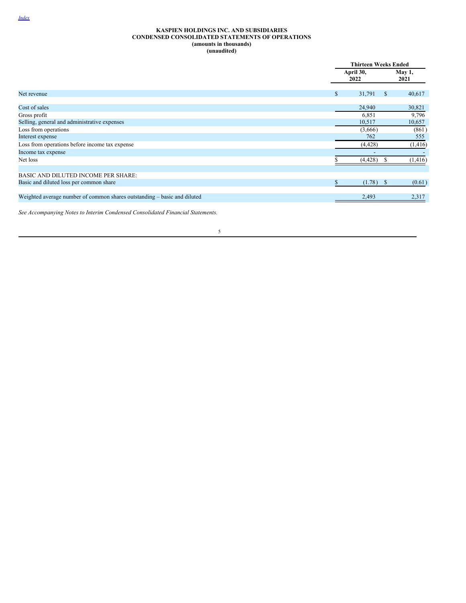## <span id="page-4-0"></span>**KASPIEN HOLDINGS INC. AND SUBSIDIARIES CONDENSED CONSOLIDATED STATEMENTS OF OPERATIONS (amounts in thousands) (unaudited)**

|                                                                          | <b>Thirteen Weeks Ended</b>   |                |  |
|--------------------------------------------------------------------------|-------------------------------|----------------|--|
|                                                                          | April 30,<br>2022             | May 1,<br>2021 |  |
| Net revenue                                                              | \$<br>31,791<br><sup>\$</sup> | 40,617         |  |
| Cost of sales                                                            | 24,940                        | 30,821         |  |
| Gross profit                                                             | 6,851                         | 9,796          |  |
| Selling, general and administrative expenses                             | 10,517                        | 10,657         |  |
| Loss from operations                                                     | (3,666)                       | (861)          |  |
| Interest expense                                                         | 762                           | 555            |  |
| Loss from operations before income tax expense                           | (4, 428)                      | (1,416)        |  |
| Income tax expense                                                       |                               |                |  |
| Net loss                                                                 | (4, 428)                      | (1, 416)       |  |
| BASIC AND DILUTED INCOME PER SHARE:                                      |                               |                |  |
| Basic and diluted loss per common share                                  | (1.78)<br>- 8                 | (0.61)         |  |
| Weighted average number of common shares outstanding – basic and diluted | 2,493                         | 2,317          |  |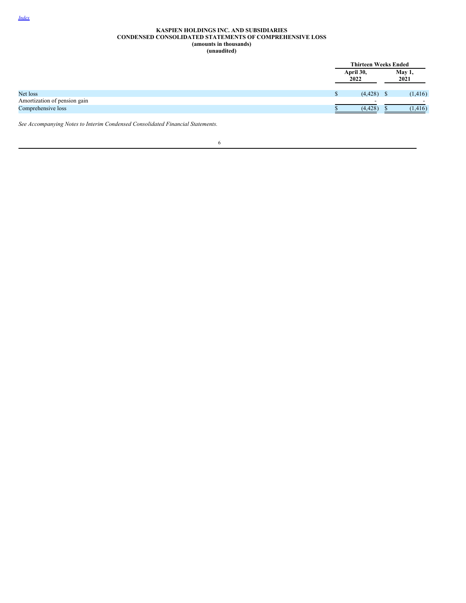## <span id="page-5-0"></span>**KASPIEN HOLDINGS INC. AND SUBSIDIARIES CONDENSED CONSOLIDATED STATEMENTS OF COMPREHENSIVE LOSS (amounts in thousands) (unaudited)**

|                              | <b>Thirteen Weeks Ended</b> |  |                |  |
|------------------------------|-----------------------------|--|----------------|--|
|                              | April 30,<br>2022           |  | May 1,<br>2021 |  |
| Net loss                     | (4, 428)                    |  | (1, 416)       |  |
| Amortization of pension gain |                             |  |                |  |
| Comprehensive loss           | (4, 428)                    |  | (1, 416)       |  |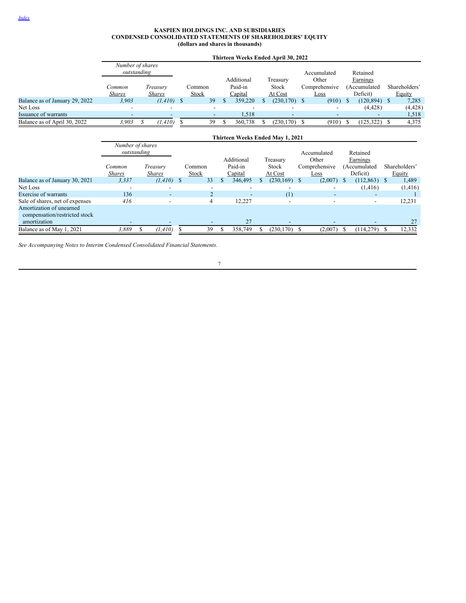## <span id="page-6-0"></span>**KASPIEN HOLDINGS INC. AND SUBSIDIARIES CONDENSED CONSOLIDATED STATEMENTS OF SHAREHOLDERS' EQUITY (dollars and shares in thousands)**

|                                | Thirteen Weeks Ended April 30, 2022 |          |       |        |  |            |  |                          |  |               |  |                          |  |               |
|--------------------------------|-------------------------------------|----------|-------|--------|--|------------|--|--------------------------|--|---------------|--|--------------------------|--|---------------|
|                                | Number of shares                    |          |       |        |  |            |  |                          |  |               |  |                          |  |               |
|                                | outstanding                         |          |       |        |  |            |  |                          |  | Accumulated   |  | Retained                 |  |               |
|                                |                                     |          |       |        |  | Additional |  | Treasury                 |  | Other         |  | Earnings                 |  |               |
|                                | Common                              | Treasurv |       | Common |  | Paid-in    |  | Stock                    |  | Comprehensive |  | (Accumulated             |  | Shareholders' |
|                                | <b>Shares</b>                       | Shares   | Stock |        |  | Capital    |  | At Cost                  |  | Loss          |  | Deficit)                 |  | Equity        |
| Balance as of January 29, 2022 | 3,903                               | (1,410)  |       | 39     |  | 359,220    |  | $(230, 170)$ \$          |  | (910)         |  | (120, 894)               |  | 7,285         |
| Net Loss                       |                                     |          |       |        |  | -          |  | $\overline{\phantom{a}}$ |  |               |  | (4, 428)                 |  | (4, 428)      |
| Issuance of warrants           |                                     |          |       |        |  | 1,518      |  | $\overline{\phantom{0}}$ |  |               |  | $\overline{\phantom{0}}$ |  | 1,518         |
| Balance as of April 30, 2022   | 3,903                               | (1,410)  |       | 39     |  | 360,738    |  | (230, 170)               |  | (910)         |  | (125, 322)               |  | 4,375         |

|                                                                           | Thirteen Weeks Ended May 1, 2021 |                                 |                    |                                  |                              |                                |                                      |                         |  |  |  |
|---------------------------------------------------------------------------|----------------------------------|---------------------------------|--------------------|----------------------------------|------------------------------|--------------------------------|--------------------------------------|-------------------------|--|--|--|
|                                                                           |                                  | Number of shares<br>outstanding |                    |                                  |                              | Accumulated                    | Retained                             |                         |  |  |  |
|                                                                           | Common<br><b>Shares</b>          | Treasury<br><b>Shares</b>       | Common<br>Stock    | Additional<br>Paid-in<br>Capital | Treasury<br>Stock<br>At Cost | Other<br>Comprehensive<br>Loss | Earnings<br>(Accumulated<br>Deficit) | Shareholders'<br>Equity |  |  |  |
| Balance as of January 30, 2021                                            | 3,337                            | (1,410)                         | 33<br><sup>S</sup> | 346,495                          | $(230, 169)$ \$              | (2,007)                        | $(112,863)$ \$                       | 1,489                   |  |  |  |
| Net Loss                                                                  | $\overline{\phantom{0}}$         | $\overline{\phantom{0}}$        |                    | $\overline{\phantom{0}}$         | $\overline{\phantom{a}}$     |                                | (1, 416)                             | (1, 416)                |  |  |  |
| <b>Exercise of warrants</b>                                               | 136                              | $\sim$                          |                    | $\overline{\phantom{a}}$         | (1)                          | $\overline{\phantom{0}}$       | $\overline{\phantom{a}}$             |                         |  |  |  |
| Sale of shares, net of expenses                                           | 416                              |                                 | 4                  | 12,227                           | $\overline{\phantom{a}}$     |                                | $\overline{\phantom{a}}$             | 12,231                  |  |  |  |
| Amortization of unearned<br>compensation/restricted stock<br>amortization |                                  |                                 |                    | 27                               | $\overline{\phantom{a}}$     |                                | $\overline{\phantom{0}}$             | 27                      |  |  |  |
| Balance as of May 1, 2021                                                 | 3,889                            | (1, 410)                        | 39                 | 358,749                          | (230.170)                    | (2,007)<br>-8                  | (114, 279)                           | 12,332<br>£.            |  |  |  |
|                                                                           |                                  |                                 |                    |                                  |                              |                                |                                      |                         |  |  |  |

*See Accompanying Notes to Interim Condensed Consolidated Financial Statements.*

7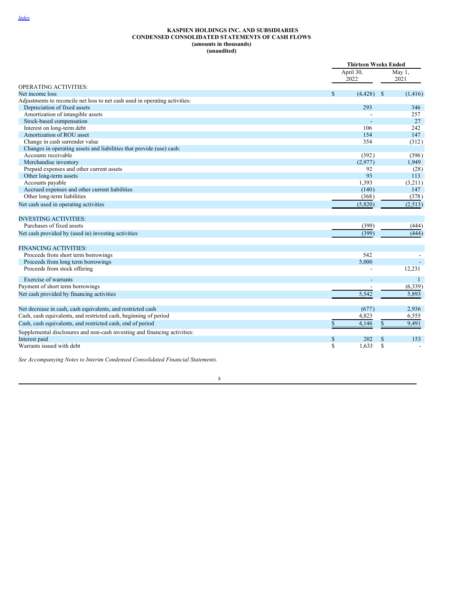## **KASPIEN HOLDINGS INC. AND SUBSIDIARIES CONDENSED CONSOLIDATED STATEMENTS OF CASH FLOWS (amounts in thousands) (unaudited)**

|                                                                             | <b>Thirteen Weeks Ended</b> |    |                   |  |
|-----------------------------------------------------------------------------|-----------------------------|----|-------------------|--|
|                                                                             | April 30,<br>2022           |    | May $1$ ,<br>2021 |  |
| <b>OPERATING ACTIVITIES:</b>                                                |                             |    |                   |  |
| Net income loss                                                             | (4, 428)<br>\$              | \$ | (1, 416)          |  |
| Adjustments to reconcile net loss to net cash used in operating activities: |                             |    |                   |  |
| Depreciation of fixed assets                                                | 293                         |    | 346               |  |
| Amortization of intangible assets                                           |                             |    | 257               |  |
| Stock-based compensation                                                    |                             |    | 27                |  |
| Interest on long-term debt                                                  | 106                         |    | 242               |  |
| Amortization of ROU asset                                                   | 154                         |    | 147               |  |
| Change in cash surrender value                                              | 354                         |    | (312)             |  |
| Changes in operating assets and liabilities that provide (use) cash:        |                             |    |                   |  |
| Accounts receivable                                                         | (392)                       |    | (396)             |  |
| Merchandise inventory                                                       | (2,977)                     |    | 1,949             |  |
| Prepaid expenses and other current assets                                   | 92                          |    | (28)              |  |
| Other long-term assets                                                      | 93                          |    | 113               |  |
| Accounts payable                                                            | 1,393                       |    | (3,211)           |  |
| Accrued expenses and other current liabilities                              | (140)                       |    | 147               |  |
| Other long-term liabilities                                                 | (368)                       |    | (378)             |  |
| Net cash used in operating activities                                       | (5,820)                     |    | (2,513)           |  |
| <b>INVESTING ACTIVITIES:</b>                                                |                             |    |                   |  |
| Purchases of fixed assets                                                   | (399)                       |    | (444)             |  |
| Net cash provided by (used in) investing activities                         | (399)                       |    | (444)             |  |
| <b>FINANCING ACTIVITIES:</b>                                                |                             |    |                   |  |
| Proceeds from short term borrowings                                         | 542                         |    |                   |  |
| Proceeds from long term borrowings                                          | 5.000                       |    |                   |  |
| Proceeds from stock offering                                                |                             |    | 12,231            |  |
| Exercise of warrants                                                        | $\sim$                      |    | $\mathbf{1}$      |  |
| Payment of short term borrowings                                            |                             |    | (6, 339)          |  |
| Net cash provided by financing activities                                   | 5,542                       |    | 5,893             |  |
| Net decrease in cash, cash equivalents, and restricted cash                 | (677)                       |    | 2,936             |  |
| Cash, cash equivalents, and restricted cash, beginning of period            | 4,823                       |    | 6,555             |  |
| Cash, cash equivalents, and restricted cash, end of period                  | \$<br>4,146                 | \$ | 9,491             |  |
| Supplemental disclosures and non-cash investing and financing activities:   |                             |    |                   |  |
| Interest paid                                                               | \$<br>202                   | \$ | 153               |  |
| Warrants issued with debt                                                   | $\mathbf S$<br>1,633        | S  |                   |  |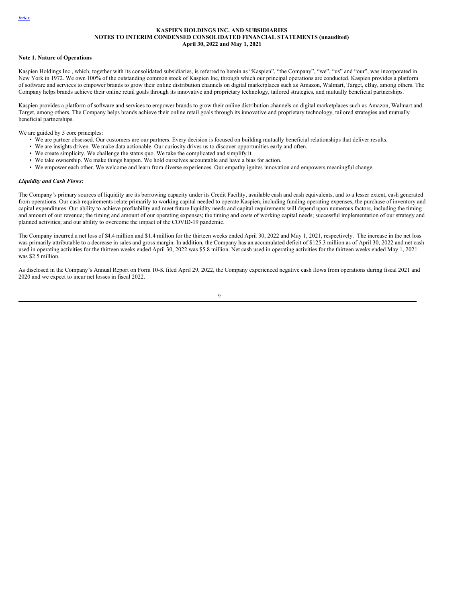## **KASPIEN HOLDINGS INC. AND SUBSIDIARIES NOTES TO INTERIM CONDENSED CONSOLIDATED FINANCIAL STATEMENTS (unaudited) April 30, 2022 and May 1, 2021**

## **Note 1. Nature of Operations**

Kaspien Holdings Inc., which, together with its consolidated subsidiaries, is referred to herein as "Kaspien", "the Company", "we", "us" and "our", was incorporated in New York in 1972. We own 100% of the outstanding common stock of Kaspien Inc, through which our principal operations are conducted. Kaspien provides a platform of software and services to empower brands to grow their online distribution channels on digital marketplaces such as Amazon, Walmart, Target, eBay, among others. The Company helps brands achieve their online retail goals through its innovative and proprietary technology, tailored strategies, and mutually beneficial partnerships.

Kaspien provides a platform of software and services to empower brands to grow their online distribution channels on digital marketplaces such as Amazon, Walmart and Target, among others. The Company helps brands achieve their online retail goals through its innovative and proprietary technology, tailored strategies and mutually beneficial partnerships.

We are guided by 5 core principles:

- We are partner obsessed. Our customers are our partners. Every decision is focused on building mutually beneficial relationships that deliver results.
- We are insights driven. We make data actionable. Our curiosity drives us to discover opportunities early and often.
- We create simplicity. We challenge the status quo. We take the complicated and simplify it.
- We take ownership. We make things happen. We hold ourselves accountable and have a bias for action.
- We empower each other. We welcome and learn from diverse experiences. Our empathy ignites innovation and empowers meaningful change.

#### *Liquidity and Cash Flows:*

The Company's primary sources of liquidity are its borrowing capacity under its Credit Facility, available cash and cash equivalents, and to a lesser extent, cash generated from operations. Our cash requirements relate primarily to working capital needed to operate Kaspien, including funding operating expenses, the purchase of inventory and capital expenditures. Our ability to achieve profitability and meet future liquidity needs and capital requirements will depend upon numerous factors, including the timing and amount of our revenue; the timing and amount of our operating expenses; the timing and costs of working capital needs; successful implementation of our strategy and planned activities; and our ability to overcome the impact of the COVID-19 pandemic.

The Company incurred a net loss of \$4.4 million and \$1.4 million for the thirteen weeks ended April 30, 2022 and May 1, 2021, respectively. The increase in the net loss was primarily attributable to a decrease in sales and gross margin. In addition, the Company has an accumulated deficit of \$125.3 million as of April 30, 2022 and net cash used in operating activities for the thirteen weeks ended April 30, 2022 was \$5.8 million. Net cash used in operating activities for the thirteen weeks ended May 1, 2021 was \$2.5 million.

As disclosed in the Company's Annual Report on Form 10-K filed April 29, 2022, the Company experienced negative cash flows from operations during fiscal 2021 and 2020 and we expect to incur net losses in fiscal 2022.

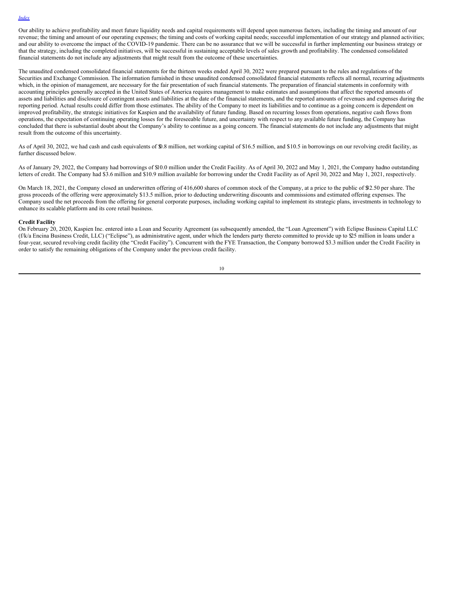#### *[Index](#page-0-0)*

Our ability to achieve profitability and meet future liquidity needs and capital requirements will depend upon numerous factors, including the timing and amount of our revenue; the timing and amount of our operating expenses; the timing and costs of working capital needs; successful implementation of our strategy and planned activities; and our ability to overcome the impact of the COVID-19 pandemic. There can be no assurance that we will be successful in further implementing our business strategy or that the strategy, including the completed initiatives, will be successful in sustaining acceptable levels of sales growth and profitability. The condensed consolidated financial statements do not include any adjustments that might result from the outcome of these uncertainties.

The unaudited condensed consolidated financial statements for the thirteen weeks ended April 30, 2022 were prepared pursuant to the rules and regulations of the Securities and Exchange Commission. The information furnished in these unaudited condensed consolidated financial statements reflects all normal, recurring adjustments which, in the opinion of management, are necessary for the fair presentation of such financial statements. The preparation of financial statements in conformity with accounting principles generally accepted in the United States of America requires management to make estimates and assumptions that affect the reported amounts of assets and liabilities and disclosure of contingent assets and liabilities at the date of the financial statements, and the reported amounts of revenues and expenses during the reporting period. Actual results could differ from those estimates. The ability of the Company to meet its liabilities and to continue as a going concern is dependent on improved profitability, the strategic initiatives for Kaspien and the availability of future funding. Based on recurring losses from operations, negative cash flows from operations, the expectation of continuing operating losses for the foreseeable future, and uncertainty with respect to any available future funding, the Company has concluded that there is substantial doubt about the Company's ability to continue as a going concern. The financial statements do not include any adjustments that might result from the outcome of this uncertainty.

As of April 30, 2022, we had cash and cash equivalents of \$0.8 million, net working capital of \$16.5 million, and \$10.5 in borrowings on our revolving credit facility, as further discussed below.

As of January 29, 2022, the Company had borrowings of \$10.0 million under the Credit Facility. As of April 30, 2022 and May 1, 2021, the Company hadno outstanding letters of credit. The Company had \$3.6 million and \$10.9 million available for borrowing under the Credit Facility as of April 30, 2022 and May 1, 2021, respectively.

On March 18, 2021, the Company closed an underwritten offering of 416,600 shares of common stock of the Company, at a price to the public of \$32.50 per share. The gross proceeds of the offering were approximately \$13.5 million, prior to deducting underwriting discounts and commissions and estimated offering expenses. The Company used the net proceeds from the offering for general corporate purposes, including working capital to implement its strategic plans, investments in technology to enhance its scalable platform and its core retail business.

#### **Credit Facility**

On February 20, 2020, Kaspien Inc. entered into a Loan and Security Agreement (as subsequently amended, the "Loan Agreement") with Eclipse Business Capital LLC  $(f/k/a)$  Encina Business Credit, LLC) ("Eclipse"), as administrative agent, under which the lenders party thereto committed to provide up to \$25 million in loans under a four-year, secured revolving credit facility (the "Credit Facility"). Concurrent with the FYE Transaction, the Company borrowed \$3.3 million under the Credit Facility in order to satisfy the remaining obligations of the Company under the previous credit facility.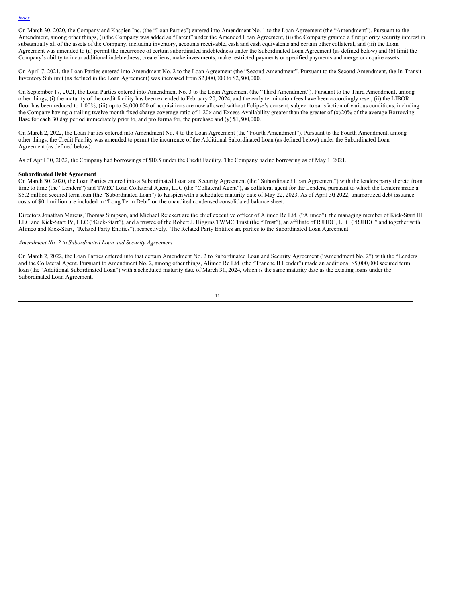On March 30, 2020, the Company and Kaspien Inc. (the "Loan Parties") entered into Amendment No. 1 to the Loan Agreement (the "Amendment"). Pursuant to the Amendment, among other things, (i) the Company was added as "Parent" under the Amended Loan Agreement, (ii) the Company granted a first priority security interest in substantially all of the assets of the Company, including inventory, accounts receivable, cash and cash equivalents and certain other collateral, and (iii) the Loan Agreement was amended to (a) permit the incurrence of certain subordinated indebtedness under the Subordinated Loan Agreement (as defined below) and (b) limit the Company's ability to incur additional indebtedness, create liens, make investments, make restricted payments or specified payments and merge or acquire assets.

On April 7, 2021, the Loan Parties entered into Amendment No. 2 to the Loan Agreement (the "Second Amendment". Pursuant to the Second Amendment, the In-Transit Inventory Sublimit (as defined in the Loan Agreement) was increased from \$2,000,000 to \$2,500,000.

On September 17, 2021, the Loan Parties entered into Amendment No. 3 to the Loan Agreement (the "Third Amendment"). Pursuant to the Third Amendment, among other things, (i) the maturity of the credit facility has been extended to February 20, 2024, and the early termination fees have been accordingly reset; (ii) the LIBOR floor has been reduced to 1.00%; (iii) up to \$4,000,000 of acquisitions are now allowed without Eclipse's consent, subject to satisfaction of various conditions, including the Company having a trailing twelve month fixed charge coverage ratio of 1.20x and Excess Availability greater than the greater of  $(x)$ 20% of the average Borrowing Base for each 30 day period immediately prior to, and pro forma for, the purchase and (y) \$1,500,000.

On March 2, 2022, the Loan Parties entered into Amendment No. 4 to the Loan Agreement (the "Fourth Amendment"). Pursuant to the Fourth Amendment, among other things, the Credit Facility was amended to permit the incurrence of the Additional Subordinated Loan (as defined below) under the Subordinated Loan Agreement (as defined below).

As of April 30, 2022, the Company had borrowings of \$10.5 under the Credit Facility. The Company had no borrowing as of May 1, 2021.

#### **Subordinated Debt Agreement**

On March 30, 2020, the Loan Parties entered into a Subordinated Loan and Security Agreement (the "Subordinated Loan Agreement") with the lenders party thereto from time to time (the "Lenders") and TWEC Loan Collateral Agent, LLC (the "Collateral Agent"), as collateral agent for the Lenders, pursuant to which the Lenders made a \$5.2 million secured term loan (the "Subordinated Loan") to Kaspien with a scheduled maturity date of May 22, 2023. As of April 30, 2022, unamortized debt issuance costs of \$0.1 million are included in "Long Term Debt" on the unaudited condensed consolidated balance sheet.

Directors Jonathan Marcus, Thomas Simpson, and Michael Reickert are the chief executive officer of Alimco Re Ltd. ("Alimco"), the managing member of Kick-Start III, LLC and Kick-Start IV, LLC ("Kick-Start"), and a trustee of the Robert J. Higgins TWMC Trust (the "Trust"), an affiliate of RJHDC, LLC ("RJHDC" and together with Alimco and Kick-Start, "Related Party Entities"), respectively. The Related Party Entities are parties to the Subordinated Loan Agreement.

#### *Amendment No. 2 to Subordinated Loan and Security Agreement*

On March 2, 2022, the Loan Parties entered into that certain Amendment No. 2 to Subordinated Loan and Security Agreement ("Amendment No. 2") with the "Lenders and the Collateral Agent. Pursuant to Amendment No. 2, among other things, Alimco Re Ltd. (the "Tranche B Lender") made an additional \$5,000,000 secured term loan (the "Additional Subordinated Loan") with a scheduled maturity date of March 31, 2024, which is the same maturity date as the existing loans under the Subordinated Loan Agreement.

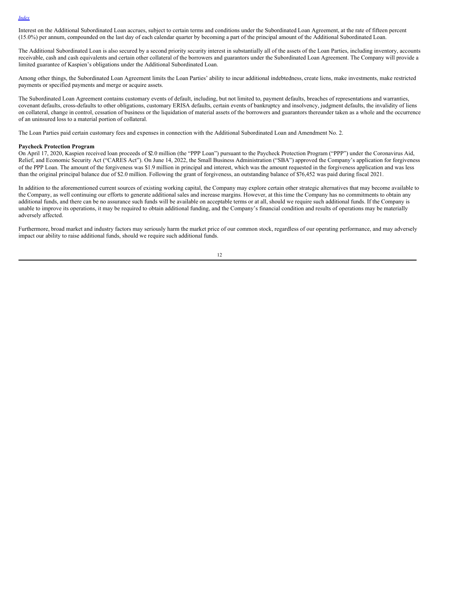Interest on the Additional Subordinated Loan accrues, subject to certain terms and conditions under the Subordinated Loan Agreement, at the rate of fifteen percent (15.0%) per annum, compounded on the last day of each calendar quarter by becoming a part of the principal amount of the Additional Subordinated Loan.

The Additional Subordinated Loan is also secured by a second priority security interest in substantially all of the assets of the Loan Parties, including inventory, accounts receivable, cash and cash equivalents and certain other collateral of the borrowers and guarantors under the Subordinated Loan Agreement. The Company will provide a limited guarantee of Kaspien's obligations under the Additional Subordinated Loan.

Among other things, the Subordinated Loan Agreement limits the Loan Parties' ability to incur additional indebtedness, create liens, make investments, make restricted payments or specified payments and merge or acquire assets.

The Subordinated Loan Agreement contains customary events of default, including, but not limited to, payment defaults, breaches of representations and warranties, covenant defaults, cross-defaults to other obligations, customary ERISA defaults, certain events of bankruptcy and insolvency, judgment defaults, the invalidity of liens on collateral, change in control, cessation of business or the liquidation of material assets of the borrowers and guarantors thereunder taken as a whole and the occurrence of an uninsured loss to a material portion of collateral.

The Loan Parties paid certain customary fees and expenses in connection with the Additional Subordinated Loan and Amendment No. 2.

## **Paycheck Protection Program**

On April 17, 2020, Kaspien received loan proceeds of \$2.0 million (the "PPP Loan") pursuant to the Paycheck Protection Program ("PPP") under the Coronavirus Aid, Relief, and Economic Security Act ("CARES Act"). On June 14, 2022, the Small Business Administration ("SBA") approved the Company's application for forgiveness of the PPP Loan. The amount of the forgiveness was \$1.9 million in principal and interest, which was the amount requested in the forgiveness application and was less than the original principal balance due of \$2.0 million. Following the grant of forgiveness, an outstanding balance of \$76,452 was paid during fiscal 2021.

In addition to the aforementioned current sources of existing working capital, the Company may explore certain other strategic alternatives that may become available to the Company, as well continuing our efforts to generate additional sales and increase margins. However, at this time the Company has no commitments to obtain any additional funds, and there can be no assurance such funds will be available on acceptable terms or at all, should we require such additional funds. If the Company is unable to improve its operations, it may be required to obtain additional funding, and the Company's financial condition and results of operations may be materially adversely affected.

Furthermore, broad market and industry factors may seriously harm the market price of our common stock, regardless of our operating performance, and may adversely impact our ability to raise additional funds, should we require such additional funds.

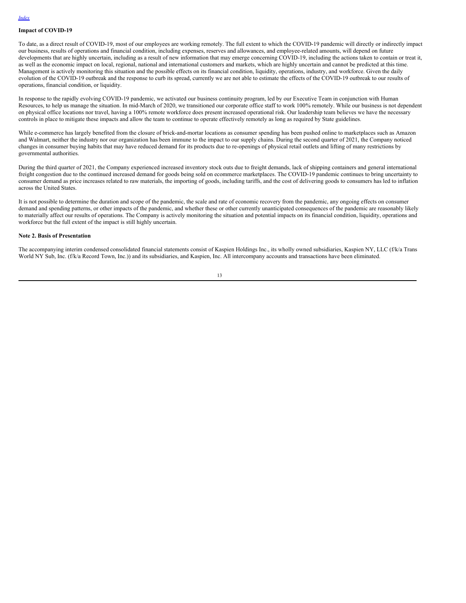## **Impact of COVID-19**

To date, as a direct result of COVID-19, most of our employees are working remotely. The full extent to which the COVID-19 pandemic will directly or indirectly impact our business, results of operations and financial condition, including expenses, reserves and allowances, and employee-related amounts, will depend on future developments that are highly uncertain, including as a result of new information that may emerge concerning COVID-19, including the actions taken to contain or treat it, as well as the economic impact on local, regional, national and international customers and markets, which are highly uncertain and cannot be predicted at this time. Management is actively monitoring this situation and the possible effects on its financial condition, liquidity, operations, industry, and workforce. Given the daily evolution of the COVID-19 outbreak and the response to curb its spread, currently we are not able to estimate the effects of the COVID-19 outbreak to our results of operations, financial condition, or liquidity.

In response to the rapidly evolving COVID-19 pandemic, we activated our business continuity program, led by our Executive Team in conjunction with Human Resources, to help us manage the situation. In mid-March of 2020, we transitioned our corporate office staff to work 100% remotely. While our business is not dependent on physical office locations nor travel, having a 100% remote workforce does present increased operational risk. Our leadership team believes we have the necessary controls in place to mitigate these impacts and allow the team to continue to operate effectively remotely as long as required by State guidelines.

While e-commerce has largely benefited from the closure of brick-and-mortar locations as consumer spending has been pushed online to marketplaces such as Amazon and Walmart, neither the industry nor our organization has been immune to the impact to our supply chains. During the second quarter of 2021, the Company noticed changes in consumer buying habits that may have reduced demand for its products due to re-openings of physical retail outlets and lifting of many restrictions by governmental authorities.

During the third quarter of 2021, the Company experienced increased inventory stock outs due to freight demands, lack of shipping containers and general international freight congestion due to the continued increased demand for goods being sold on ecommerce marketplaces. The COVID-19 pandemic continues to bring uncertainty to consumer demand as price increases related to raw materials, the importing of goods, including tariffs, and the cost of delivering goods to consumers has led to inflation across the United States.

It is not possible to determine the duration and scope of the pandemic, the scale and rate of economic recovery from the pandemic, any ongoing effects on consumer demand and spending patterns, or other impacts of the pandemic, and whether these or other currently unanticipated consequences of the pandemic are reasonably likely to materially affect our results of operations. The Company is actively monitoring the situation and potential impacts on its financial condition, liquidity, operations and workforce but the full extent of the impact is still highly uncertain.

#### **Note 2. Basis of Presentation**

The accompanying interim condensed consolidated financial statements consist of Kaspien Holdings Inc., its wholly owned subsidiaries, Kaspien NY, LLC (f/k/a Trans World NY Sub, Inc. (f/k/a Record Town, Inc.)) and its subsidiaries, and Kaspien, Inc. All intercompany accounts and transactions have been eliminated.

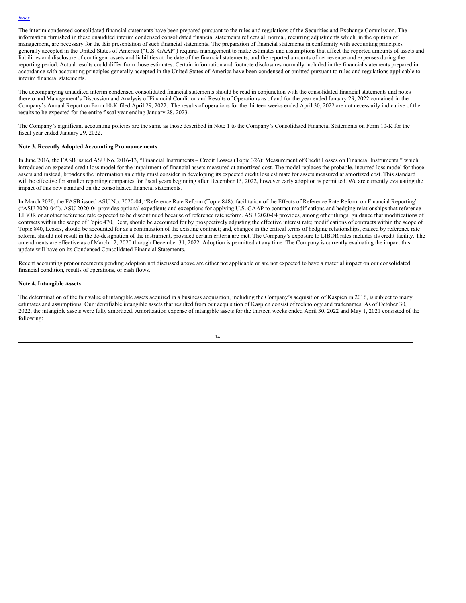#### The interim condensed consolidated financial statements have been prepared pursuant to the rules and regulations of the Securities and Exchange Commission. The information furnished in these unaudited interim condensed consolidated financial statements reflects all normal, recurring adjustments which, in the opinion of management, are necessary for the fair presentation of such financial statements. The preparation of financial statements in conformity with accounting principles generally accepted in the United States of America ("U.S. GAAP") requires management to make estimates and assumptions that affect the reported amounts of assets and liabilities and disclosure of contingent assets and liabilities at the date of the financial statements, and the reported amounts of net revenue and expenses during the reporting period. Actual results could differ from those estimates. Certain information and footnote disclosures normally included in the financial statements prepared in accordance with accounting principles generally accepted in the United States of America have been condensed or omitted pursuant to rules and regulations applicable to interim financial statements.

The accompanying unaudited interim condensed consolidated financial statements should be read in conjunction with the consolidated financial statements and notes thereto and Management's Discussion and Analysis of Financial Condition and Results of Operations as of and for the year ended January 29, 2022 contained in the Company's Annual Report on Form 10-K filed April 29, 2022. The results of operations for the thirteen weeks ended April 30, 2022 are not necessarily indicative of the results to be expected for the entire fiscal year ending January 28, 2023.

The Company's significant accounting policies are the same as those described in Note 1 to the Company's Consolidated Financial Statements on Form 10-K for the fiscal year ended January 29, 2022.

## **Note 3. Recently Adopted Accounting Pronouncements**

In June 2016, the FASB issued ASU No. 2016-13, "Financial Instruments – Credit Losses (Topic 326): Measurement of Credit Losses on Financial Instruments," which introduced an expected credit loss model for the impairment of financial assets measured at amortized cost. The model replaces the probable, incurred loss model for those assets and instead, broadens the information an entity must consider in developing its expected credit loss estimate for assets measured at amortized cost. This standard will be effective for smaller reporting companies for fiscal years beginning after December 15, 2022, however early adoption is permitted. We are currently evaluating the impact of this new standard on the consolidated financial statements.

In March 2020, the FASB issued ASU No. 2020-04, "Reference Rate Reform (Topic 848): facilitation of the Effects of Reference Rate Reform on Financial Reporting" ("ASU 2020-04"). ASU 2020-04 provides optional expedients and exceptions for applying U.S. GAAP to contract modifications and hedging relationships that reference LIBOR or another reference rate expected to be discontinued because of reference rate reform. ASU 2020-04 provides, among other things, guidance that modifications of contracts within the scope of Topic 470, Debt, should be accounted for by prospectively adjusting the effective interest rate; modifications of contracts within the scope of Topic 840, Leases, should be accounted for as a continuation of the existing contract; and, changes in the critical terms of hedging relationships, caused by reference rate reform, should not result in the de-designation of the instrument, provided certain criteria are met. The Company's exposure to LIBOR rates includes its credit facility. The amendments are effective as of March 12, 2020 through December 31, 2022. Adoption is permitted at any time. The Company is currently evaluating the impact this update will have on its Condensed Consolidated Financial Statements.

Recent accounting pronouncements pending adoption not discussed above are either not applicable or are not expected to have a material impact on our consolidated financial condition, results of operations, or cash flows.

## **Note 4. Intangible Assets**

The determination of the fair value of intangible assets acquired in a business acquisition, including the Company's acquisition of Kaspien in 2016, is subject to many estimates and assumptions. Our identifiable intangible assets that resulted from our acquisition of Kaspien consist of technology and tradenames. As of October 30, 2022, the intangible assets were fully amortized. Amortization expense of intangible assets for the thirteen weeks ended April 30, 2022 and May 1, 2021 consisted of the following: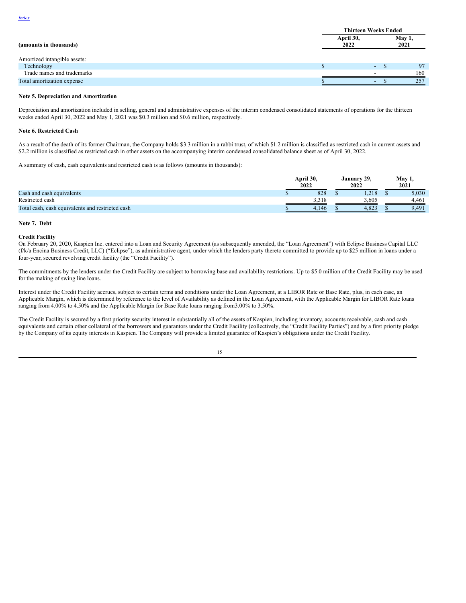|                              | <b>Thirteen Weeks Ended</b> |                |
|------------------------------|-----------------------------|----------------|
| (amounts in thousands)       | April 30,<br>2022           | May 1,<br>2021 |
| Amortized intangible assets: |                             |                |
| Technology                   | $\sim$                      | 97             |
| Trade names and trademarks   | $\overline{\phantom{0}}$    | 160            |
| Total amortization expense   | $\overline{\phantom{0}}$    | 257            |

## **Note 5. Depreciation and Amortization**

Depreciation and amortization included in selling, general and administrative expenses of the interim condensed consolidated statements of operations for the thirteen weeks ended April 30, 2022 and May 1, 2021 was \$0.3 million and \$0.6 million, respectively.

#### **Note 6. Restricted Cash**

As a result of the death of its former Chairman, the Company holds \$3.3 million in a rabbi trust, of which \$1.2 million is classified as restricted cash in current assets and \$2.2 million is classified as restricted cash in other assets on the accompanying interim condensed consolidated balance sheet as of April 30, 2022.

A summary of cash, cash equivalents and restricted cash is as follows (amounts in thousands):

|                                                  | April 30,<br>2022 | January 29,<br>2022 | May 1,<br>2021 |
|--------------------------------------------------|-------------------|---------------------|----------------|
| Cash and cash equivalents                        | 828               | 1.218               | 5.030          |
| Restricted cash                                  | 3.318             | 3.605               | 4.461          |
| Total cash, cash equivalents and restricted cash | 4.146             | 4.823               | 9.491          |

## **Note 7. Debt**

#### **Credit Facility**

On February 20, 2020, Kaspien Inc. entered into a Loan and Security Agreement (as subsequently amended, the "Loan Agreement") with Eclipse Business Capital LLC (f/k/a Encina Business Credit, LLC) ("Eclipse"), as administrative agent, under which the lenders party thereto committed to provide up to \$25 million in loans under a four-year, secured revolving credit facility (the "Credit Facility").

The commitments by the lenders under the Credit Facility are subject to borrowing base and availability restrictions. Up to \$5.0 million of the Credit Facility may be used for the making of swing line loans.

Interest under the Credit Facility accrues, subject to certain terms and conditions under the Loan Agreement, at a LIBOR Rate or Base Rate, plus, in each case, an Applicable Margin, which is determined by reference to the level of Availability as defined in the Loan Agreement, with the Applicable Margin for LIBOR Rate loans ranging from 4.00% to 4.50% and the Applicable Margin for Base Rate loans ranging from3.00% to 3.50%.

The Credit Facility is secured by a first priority security interest in substantially all of the assets of Kaspien, including inventory, accounts receivable, cash and cash equivalents and certain other collateral of the borrowers and guarantors under the Credit Facility (collectively, the "Credit Facility Parties") and by a first priority pledge by the Company of its equity interests in Kaspien. The Company will provide a limited guarantee of Kaspien's obligations under the Credit Facility.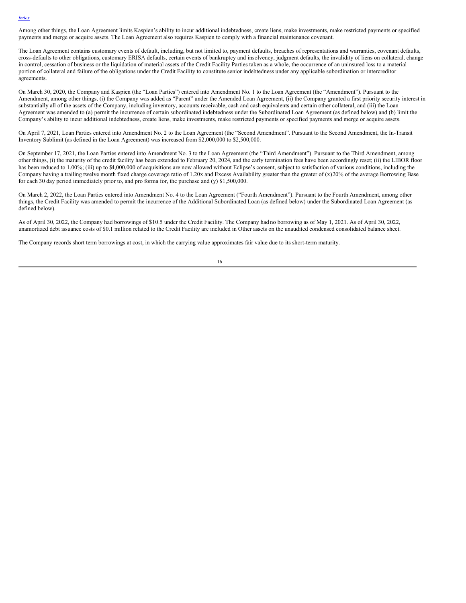Among other things, the Loan Agreement limits Kaspien's ability to incur additional indebtedness, create liens, make investments, make restricted payments or specified payments and merge or acquire assets. The Loan Agreement also requires Kaspien to comply with a financial maintenance covenant.

The Loan Agreement contains customary events of default, including, but not limited to, payment defaults, breaches of representations and warranties, covenant defaults, cross-defaults to other obligations, customary ERISA defaults, certain events of bankruptcy and insolvency, judgment defaults, the invalidity of liens on collateral, change in control, cessation of business or the liquidation of material assets of the Credit Facility Parties taken as a whole, the occurrence of an uninsured loss to a material portion of collateral and failure of the obligations under the Credit Facility to constitute senior indebtedness under any applicable subordination or intercreditor agreements.

On March 30, 2020, the Company and Kaspien (the "Loan Parties") entered into Amendment No. 1 to the Loan Agreement (the "Amendment"). Pursuant to the Amendment, among other things, (i) the Company was added as "Parent" under the Amended Loan Agreement, (ii) the Company granted a first priority security interest in substantially all of the assets of the Company, including inventory, accounts receivable, cash and cash equivalents and certain other collateral, and (iii) the Loan Agreement was amended to (a) permit the incurrence of certain subordinated indebtedness under the Subordinated Loan Agreement (as defined below) and (b) limit the Company's ability to incur additional indebtedness, create liens, make investments, make restricted payments or specified payments and merge or acquire assets.

On April 7, 2021, Loan Parties entered into Amendment No. 2 to the Loan Agreement (the "Second Amendment". Pursuant to the Second Amendment, the In-Transit Inventory Sublimit (as defined in the Loan Agreement) was increased from \$2,000,000 to \$2,500,000.

On September 17, 2021, the Loan Parties entered into Amendment No. 3 to the Loan Agreement (the "Third Amendment"). Pursuant to the Third Amendment, among other things, (i) the maturity of the credit facility has been extended to February 20, 2024, and the early termination fees have been accordingly reset; (ii) the LIBOR floor has been reduced to 1.00%; (iii) up to \$4,000,000 of acquisitions are now allowed without Eclipse's consent, subject to satisfaction of various conditions, including the Company having a trailing twelve month fixed charge coverage ratio of 1.20x and Excess Availability greater than the greater of (x)20% of the average Borrowing Base for each 30 day period immediately prior to, and pro forma for, the purchase and (y) \$1,500,000.

On March 2, 2022, the Loan Parties entered into Amendment No. 4 to the Loan Agreement ("Fourth Amendment"). Pursuant to the Fourth Amendment, among other things, the Credit Facility was amended to permit the incurrence of the Additional Subordinated Loan (as defined below) under the Subordinated Loan Agreement (as defined below).

As of April 30, 2022, the Company had borrowings of \$10.5 under the Credit Facility. The Company had no borrowing as of May 1, 2021. As of April 30, 2022, unamortized debt issuance costs of \$0.1 million related to the Credit Facility are included in Other assets on the unaudited condensed consolidated balance sheet.

The Company records short term borrowings at cost, in which the carrying value approximates fair value due to its short-term maturity.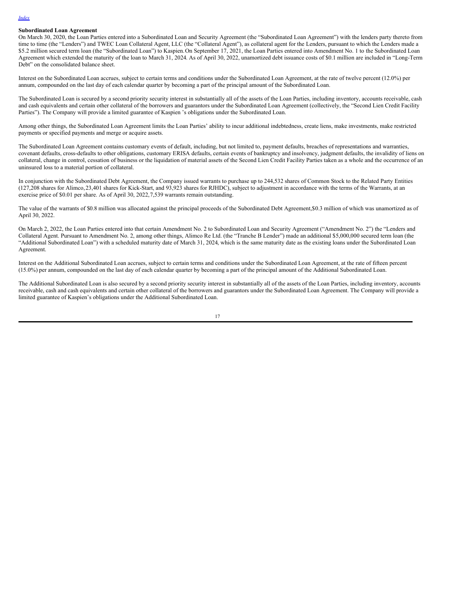## *[Index](#page-0-0)*

## **Subordinated Loan Agreement**

On March 30, 2020, the Loan Parties entered into a Subordinated Loan and Security Agreement (the "Subordinated Loan Agreement") with the lenders party thereto from time to time (the "Lenders") and TWEC Loan Collateral Agent, LLC (the "Collateral Agent"), as collateral agent for the Lenders, pursuant to which the Lenders made a \$5.2 million secured term loan (the "Subordinated Loan") to Kaspien. On September 17, 2021, the Loan Parties entered into Amendment No. 1 to the Subordinated Loan Agreement which extended the maturity of the loan to March 31, 2024. As of April 30, 2022, unamortized debt issuance costs of \$0.1 million are included in "Long-Term Debt" on the consolidated balance sheet.

Interest on the Subordinated Loan accrues, subject to certain terms and conditions under the Subordinated Loan Agreement, at the rate of twelve percent (12.0%) per annum, compounded on the last day of each calendar quarter by becoming a part of the principal amount of the Subordinated Loan.

The Subordinated Loan is secured by a second priority security interest in substantially all of the assets of the Loan Parties, including inventory, accounts receivable, cash and cash equivalents and certain other collateral of the borrowers and guarantors under the Subordinated Loan Agreement (collectively, the "Second Lien Credit Facility Parties"). The Company will provide a limited guarantee of Kaspien 's obligations under the Subordinated Loan.

Among other things, the Subordinated Loan Agreement limits the Loan Parties' ability to incur additional indebtedness, create liens, make investments, make restricted payments or specified payments and merge or acquire assets.

The Subordinated Loan Agreement contains customary events of default, including, but not limited to, payment defaults, breaches of representations and warranties, covenant defaults, cross-defaults to other obligations, customary ERISA defaults, certain events of bankruptcy and insolvency, judgment defaults, the invalidity of liens on collateral, change in control, cessation of business or the liquidation of material assets of the Second Lien Credit Facility Parties taken as a whole and the occurrence of an uninsured loss to a material portion of collateral.

In conjunction with the Subordinated Debt Agreement, the Company issued warrants to purchase up to 244,532 shares of Common Stock to the Related Party Entities (127,208 shares for Alimco,23,401 shares for Kick-Start, and 93,923 shares for RJHDC), subject to adjustment in accordance with the terms of the Warrants, at an exercise price of \$0.01 per share. As of April 30, 2022,7,539 warrants remain outstanding.

The value of the warrants of \$0.8 million was allocated against the principal proceeds of the Subordinated Debt Agreement,\$0.3 million of which was unamortized as of April 30, 2022.

On March 2, 2022, the Loan Parties entered into that certain Amendment No. 2 to Subordinated Loan and Security Agreement ("Amendment No. 2") the "Lenders and Collateral Agent. Pursuant to Amendment No. 2, among other things, Alimco Re Ltd. (the "Tranche B Lender") made an additional \$5,000,000 secured term loan (the "Additional Subordinated Loan") with a scheduled maturity date of March 31, 2024, which is the same maturity date as the existing loans under the Subordinated Loan Agreement.

Interest on the Additional Subordinated Loan accrues, subject to certain terms and conditions under the Subordinated Loan Agreement, at the rate of fifteen percent (15.0%) per annum, compounded on the last day of each calendar quarter by becoming a part of the principal amount of the Additional Subordinated Loan.

The Additional Subordinated Loan is also secured by a second priority security interest in substantially all of the assets of the Loan Parties, including inventory, accounts receivable, cash and cash equivalents and certain other collateral of the borrowers and guarantors under the Subordinated Loan Agreement. The Company will provide a limited guarantee of Kaspien's obligations under the Additional Subordinated Loan.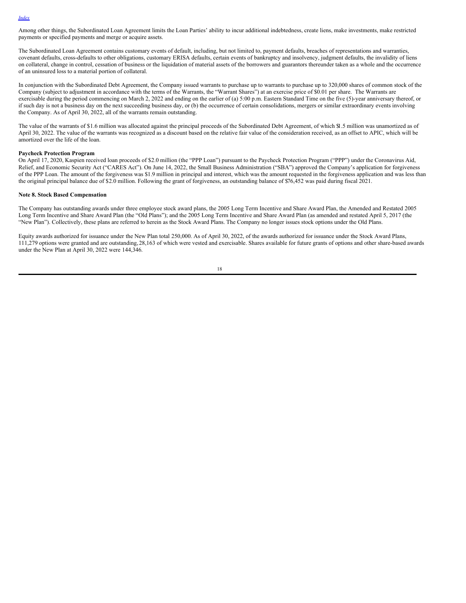Among other things, the Subordinated Loan Agreement limits the Loan Parties' ability to incur additional indebtedness, create liens, make investments, make restricted payments or specified payments and merge or acquire assets.

The Subordinated Loan Agreement contains customary events of default, including, but not limited to, payment defaults, breaches of representations and warranties, covenant defaults, cross-defaults to other obligations, customary ERISA defaults, certain events of bankruptcy and insolvency, judgment defaults, the invalidity of liens on collateral, change in control, cessation of business or the liquidation of material assets of the borrowers and guarantors thereunder taken as a whole and the occurrence of an uninsured loss to a material portion of collateral.

In conjunction with the Subordinated Debt Agreement, the Company issued warrants to purchase up to warrants to purchase up to 320,000 shares of common stock of the Company (subject to adjustment in accordance with the terms of the Warrants, the "Warrant Shares") at an exercise price of \$0.01 per share. The Warrants are exercisable during the period commencing on March 2, 2022 and ending on the earlier of (a) 5:00 p.m. Eastern Standard Time on the five (5)-year anniversary thereof, or if such day is not a business day on the next succeeding business day, or (b) the occurrence of certain consolidations, mergers or similar extraordinary events involving the Company. As of April 30, 2022, all of the warrants remain outstanding.

The value of the warrants of \$1.6 million was allocated against the principal proceeds of the Subordinated Debt Agreement, of which \$1.5 million was unamortized as of April 30, 2022. The value of the warrants was recognized as a discount based on the relative fair value of the consideration received, as an offset to APIC, which will be amortized over the life of the loan.

#### **Paycheck Protection Program**

On April 17, 2020, Kaspien received loan proceeds of \$2.0 million (the "PPP Loan") pursuant to the Paycheck Protection Program ("PPP") under the Coronavirus Aid, Relief, and Economic Security Act ("CARES Act"). On June 14, 2022, the Small Business Administration ("SBA") approved the Company's application for forgiveness of the PPP Loan. The amount of the forgiveness was \$1.9 million in principal and interest, which was the amount requested in the forgiveness application and was less than the original principal balance due of \$2.0 million. Following the grant of forgiveness, an outstanding balance of \$76,452 was paid during fiscal 2021.

#### **Note 8. Stock Based Compensation**

The Company has outstanding awards under three employee stock award plans, the 2005 Long Term Incentive and Share Award Plan, the Amended and Restated 2005 Long Term Incentive and Share Award Plan (the "Old Plans"); and the 2005 Long Term Incentive and Share Award Plan (as amended and restated April 5, 2017 (the "New Plan"). Collectively, these plans are referred to herein as the Stock Award Plans. The Company no longer issues stock options under the Old Plans.

Equity awards authorized for issuance under the New Plan total 250,000. As of April 30, 2022, of the awards authorized for issuance under the Stock Award Plans, 111,279 options were granted and are outstanding,28,163 of which were vested and exercisable. Shares available for future grants of options and other share-based awards under the New Plan at April 30, 2022 were 144,346.

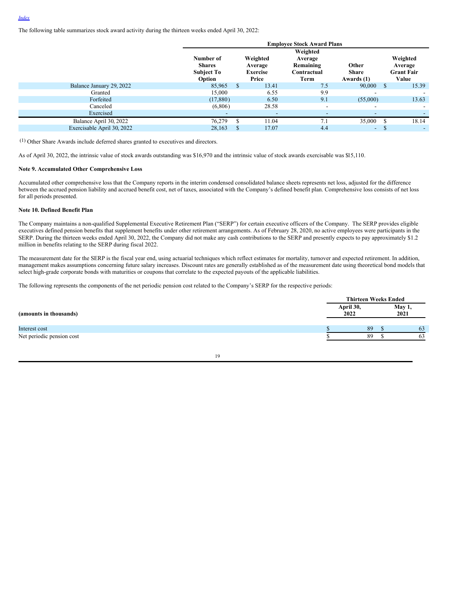The following table summarizes stock award activity during the thirteen weeks ended April 30, 2022:

|                            | <b>Employee Stock Award Plans</b>                         |              |                                                 |                                                         |                              |    |                                                   |  |  |  |
|----------------------------|-----------------------------------------------------------|--------------|-------------------------------------------------|---------------------------------------------------------|------------------------------|----|---------------------------------------------------|--|--|--|
|                            | Number of<br><b>Shares</b><br><b>Subject To</b><br>Option |              | Weighted<br>Average<br><b>Exercise</b><br>Price | Weighted<br>Average<br>Remaining<br>Contractual<br>Term | Other<br>Share<br>Awards (1) |    | Weighted<br>Average<br><b>Grant Fair</b><br>Value |  |  |  |
| Balance January 29, 2022   | 85,965                                                    | <sup>S</sup> | 13.41                                           | 7.5                                                     | 90,000                       | \$ | 15.39                                             |  |  |  |
| Granted                    | 15,000                                                    |              | 6.55                                            | 9.9                                                     | ۰                            |    |                                                   |  |  |  |
| Forfeited                  | (17,880)                                                  |              | 6.50                                            | 9.1                                                     | (55,000)                     |    | 13.63                                             |  |  |  |
| Canceled                   | (6,806)                                                   |              | 28.58                                           | $\overline{\phantom{a}}$                                |                              |    |                                                   |  |  |  |
| Exercised                  |                                                           |              | $\overline{\phantom{a}}$                        | $\overline{\phantom{a}}$                                | $\overline{\phantom{0}}$     |    |                                                   |  |  |  |
| Balance April 30, 2022     | 76,279                                                    | S            | 11.04                                           | 7.1                                                     | 35,000                       |    | 18.14                                             |  |  |  |
| Exercisable April 30, 2022 | 28,163                                                    | S            | 17.07                                           | 4.4                                                     | $- S$                        |    | $\sim$                                            |  |  |  |

(1) Other Share Awards include deferred shares granted to executives and directors.

As of April 30, 2022, the intrinsic value of stock awards outstanding was \$16,970 and the intrinsic value of stock awards exercisable was \$15,110.

#### **Note 9. Accumulated Other Comprehensive Loss**

Accumulated other comprehensive loss that the Company reports in the interim condensed consolidated balance sheets represents net loss, adjusted for the difference between the accrued pension liability and accrued benefit cost, net of taxes, associated with the Company's defined benefit plan. Comprehensive loss consists of net loss for all periods presented.

#### **Note 10. Defined Benefit Plan**

The Company maintains a non-qualified Supplemental Executive Retirement Plan ("SERP") for certain executive officers of the Company. The SERP provides eligible executives defined pension benefits that supplement benefits under other retirement arrangements. As of February 28, 2020, no active employees were participants in the SERP. During the thirteen weeks ended April 30, 2022, the Company did not make any cash contributions to the SERP and presently expects to pay approximately \$1.2 million in benefits relating to the SERP during fiscal 2022.

The measurement date for the SERP is the fiscal year end, using actuarial techniques which reflect estimates for mortality, turnover and expected retirement. In addition, management makes assumptions concerning future salary increases. Discount rates are generally established as of the measurement date using theoretical bond models that select high-grade corporate bonds with maturities or coupons that correlate to the expected payouts of the applicable liabilities.

The following represents the components of the net periodic pension cost related to the Company's SERP for the respective periods:

|                           | <b>Thirteen Weeks Ended</b> |                |  |  |
|---------------------------|-----------------------------|----------------|--|--|
| (amounts in thousands)    | April 30,<br>2022           | May 1,<br>2021 |  |  |
| Interest cost             | 89                          | 63             |  |  |
| Net periodic pension cost | 89                          | 63             |  |  |
|                           |                             |                |  |  |

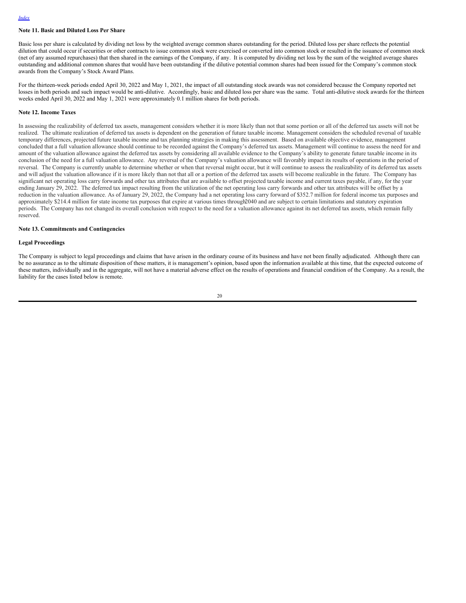## **Note 11. Basic and Diluted Loss Per Share**

Basic loss per share is calculated by dividing net loss by the weighted average common shares outstanding for the period. Diluted loss per share reflects the potential dilution that could occur if securities or other contracts to issue common stock were exercised or converted into common stock or resulted in the issuance of common stock (net of any assumed repurchases) that then shared in the earnings of the Company, if any. It is computed by dividing net loss by the sum of the weighted average shares outstanding and additional common shares that would have been outstanding if the dilutive potential common shares had been issued for the Company's common stock awards from the Company's Stock Award Plans.

For the thirteen-week periods ended April 30, 2022 and May 1, 2021, the impact of all outstanding stock awards was not considered because the Company reported net losses in both periods and such impact would be anti-dilutive. Accordingly, basic and diluted loss per share was the same. Total anti-dilutive stock awards for the thirteen weeks ended April 30, 2022 and May 1, 2021 were approximately 0.1 million shares for both periods.

#### **Note 12. Income Taxes**

In assessing the realizability of deferred tax assets, management considers whether it is more likely than not that some portion or all of the deferred tax assets will not be realized. The ultimate realization of deferred tax assets is dependent on the generation of future taxable income. Management considers the scheduled reversal of taxable temporary differences, projected future taxable income and tax planning strategies in making this assessment. Based on available objective evidence, management concluded that a full valuation allowance should continue to be recorded against the Company's deferred tax assets. Management will continue to assess the need for and amount of the valuation allowance against the deferred tax assets by considering all available evidence to the Company's ability to generate future taxable income in its conclusion of the need for a full valuation allowance. Any reversal of the Company's valuation allowance will favorably impact its results of operations in the period of reversal. The Company is currently unable to determine whether or when that reversal might occur, but it will continue to assess the realizability of its deferred tax assets and will adjust the valuation allowance if it is more likely than not that all or a portion of the deferred tax assets will become realizable in the future. The Company has significant net operating loss carry forwards and other tax attributes that are available to offset projected taxable income and current taxes payable, if any, for the year ending January 29, 2022. The deferred tax impact resulting from the utilization of the net operating loss carry forwards and other tax attributes will be offset by a reduction in the valuation allowance. As of January 29, 2022, the Company had a net operating loss carry forward of \$352.7 million for federal income tax purposes and approximately \$214.4 million for state income tax purposes that expire at various times through2040 and are subject to certain limitations and statutory expiration periods. The Company has not changed its overall conclusion with respect to the need for a valuation allowance against its net deferred tax assets, which remain fully reserved.

#### **Note 13. Commitments and Contingencies**

#### **Legal Proceedings**

The Company is subject to legal proceedings and claims that have arisen in the ordinary course of its business and have not been finally adjudicated. Although there can be no assurance as to the ultimate disposition of these matters, it is management's opinion, based upon the information available at this time, that the expected outcome of these matters, individually and in the aggregate, will not have a material adverse effect on the results of operations and financial condition of the Company. As a result, the liability for the cases listed below is remote.

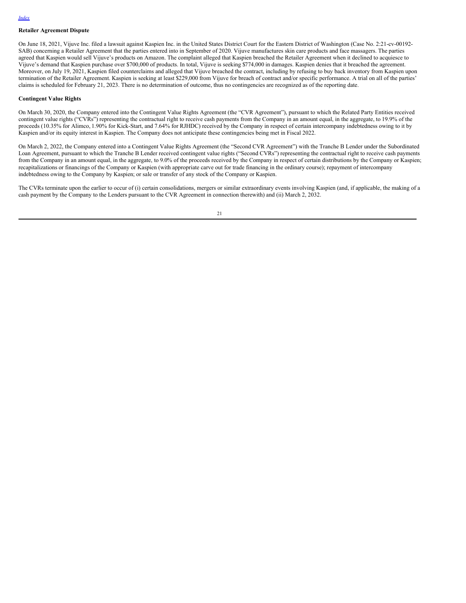#### *[Index](#page-0-0)*

## **Retailer Agreement Dispute**

On June 18, 2021, Vijuve Inc. filed a lawsuit against Kaspien Inc. in the United States District Court for the Eastern District of Washington (Case No. 2:21-cv-00192- SAB) concerning a Retailer Agreement that the parties entered into in September of 2020. Vijuve manufactures skin care products and face massagers. The parties agreed that Kaspien would sell Vijuve's products on Amazon. The complaint alleged that Kaspien breached the Retailer Agreement when it declined to acquiesce to Vijuve's demand that Kaspien purchase over \$700,000 of products. In total, Vijuve is seeking \$774,000 in damages. Kaspien denies that it breached the agreement. Moreover, on July 19, 2021, Kaspien filed counterclaims and alleged that Vijuve breached the contract, including by refusing to buy back inventory from Kaspien upon termination of the Retailer Agreement. Kaspien is seeking at least \$229,000 from Vijuve for breach of contract and/or specific performance. A trial on all of the parties' claims is scheduled for February 21, 2023. There is no determination of outcome, thus no contingencies are recognized as of the reporting date.

#### **Contingent Value Rights**

On March 30, 2020, the Company entered into the Contingent Value Rights Agreement (the "CVR Agreement"), pursuant to which the Related Party Entities received contingent value rights ("CVRs") representing the contractual right to receive cash payments from the Company in an amount equal, in the aggregate, to 19.9% of the proceeds (10.35% for Alimco, 1.90% for Kick-Start, and 7.64% for RJHDC) received by the Company in respect of certain intercompany indebtedness owing to it by Kaspien and/or its equity interest in Kaspien. The Company does not anticipate these contingencies being met in Fiscal 2022.

On March 2, 2022, the Company entered into a Contingent Value Rights Agreement (the "Second CVR Agreement") with the Tranche B Lender under the Subordinated Loan Agreement, pursuant to which the Tranche B Lender received contingent value rights ("Second CVRs") representing the contractual right to receive cash payments from the Company in an amount equal, in the aggregate, to 9.0% of the proceeds received by the Company in respect of certain distributions by the Company or Kaspien; recapitalizations or financings of the Company or Kaspien (with appropriate carve out for trade financing in the ordinary course); repayment of intercompany indebtedness owing to the Company by Kaspien; or sale or transfer of any stock of the Company or Kaspien.

The CVRs terminate upon the earlier to occur of (i) certain consolidations, mergers or similar extraordinary events involving Kaspien (and, if applicable, the making of a cash payment by the Company to the Lenders pursuant to the CVR Agreement in connection therewith) and (ii) March 2, 2032.

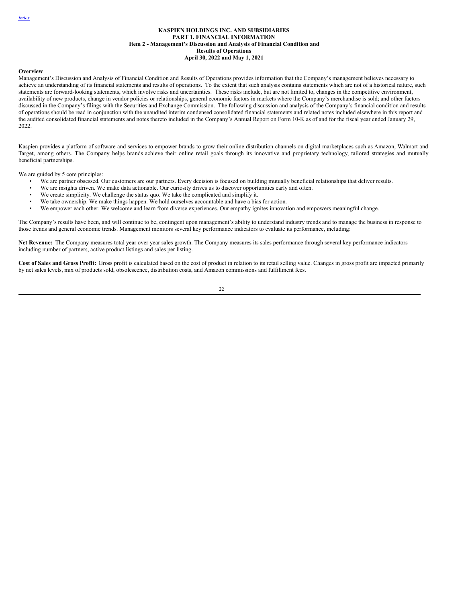## **KASPIEN HOLDINGS INC. AND SUBSIDIARIES PART 1. FINANCIAL INFORMATION Item 2 - Management's Discussion and Analysis of Financial Condition and Results of Operations April 30, 2022 and May 1, 2021**

#### **Overview**

Management's Discussion and Analysis of Financial Condition and Results of Operations provides information that the Company's management believes necessary to achieve an understanding of its financial statements and results of operations. To the extent that such analysis contains statements which are not of a historical nature, such statements are forward-looking statements, which involve risks and uncertainties. These risks include, but are not limited to, changes in the competitive environment, availability of new products, change in vendor policies or relationships, general economic factors in markets where the Company's merchandise is sold; and other factors discussed in the Company's filings with the Securities and Exchange Commission. The following discussion and analysis of the Company's financial condition and results of operations should be read in conjunction with the unaudited interim condensed consolidated financial statements and related notes included elsewhere in this report and the audited consolidated financial statements and notes thereto included in the Company's Annual Report on Form 10-K as of and for the fiscal year ended January 29, 2022.

Kaspien provides a platform of software and services to empower brands to grow their online distribution channels on digital marketplaces such as Amazon, Walmart and Target, among others. The Company helps brands achieve their online retail goals through its innovative and proprietary technology, tailored strategies and mutually beneficial partnerships.

We are guided by 5 core principles:

- We are partner obsessed. Our customers are our partners. Every decision is focused on building mutually beneficial relationships that deliver results.
- We are insights driven. We make data actionable. Our curiosity drives us to discover opportunities early and often.
- We create simplicity. We challenge the status quo. We take the complicated and simplify it.
- We take ownership. We make things happen. We hold ourselves accountable and have a bias for action.
- We empower each other. We welcome and learn from diverse experiences. Our empathy ignites innovation and empowers meaningful change.

The Company's results have been, and will continue to be, contingent upon management's ability to understand industry trends and to manage the business in response to those trends and general economic trends. Management monitors several key performance indicators to evaluate its performance, including:

**Net Revenue:** The Company measures total year over year sales growth. The Company measures its sales performance through several key performance indicators including number of partners, active product listings and sales per listing.

**Cost of Sales and Gross Profit:** Gross profit is calculated based on the cost of product in relation to its retail selling value. Changes in gross profit are impacted primarily by net sales levels, mix of products sold, obsolescence, distribution costs, and Amazon commissions and fulfillment fees.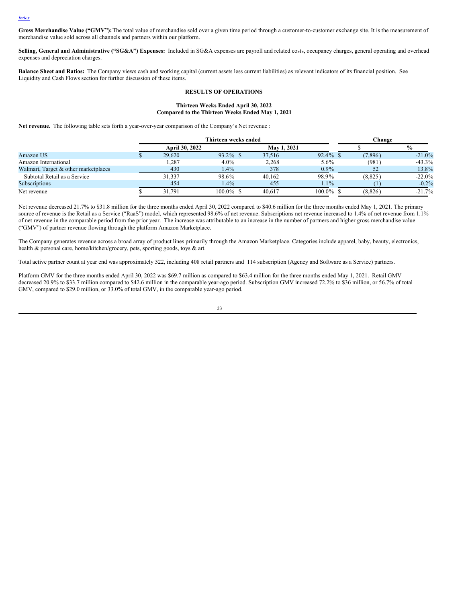Gross Merchandise Value ("GMV"): The total value of merchandise sold over a given time period through a customer-to-customer exchange site. It is the measurement of merchandise value sold across all channels and partners within our platform.

**Selling, General and Administrative ("SG&A") Expenses:** Included in SG&A expenses are payroll and related costs, occupancy charges, general operating and overhead expenses and depreciation charges.

**Balance Sheet and Ratios:** The Company views cash and working capital (current assets less current liabilities) as relevant indicators of its financial position. See Liquidity and Cash Flows section for further discussion of these items.

## **RESULTS OF OPERATIONS**

## **Thirteen Weeks Ended April 30, 2022 Compared to the Thirteen Weeks Ended May 1, 2021**

**Net revenue.** The following table sets forth a year-over-year comparison of the Company's Net revenue :

|                                      | Thirteen weeks ended  |              |                    |             | Change  |               |  |
|--------------------------------------|-----------------------|--------------|--------------------|-------------|---------|---------------|--|
|                                      | <b>April 30, 2022</b> |              | <b>May 1, 2021</b> |             |         | $\frac{0}{0}$ |  |
| Amazon US                            | 29,620                | $93.2\%$ \$  | 37.516             | $92.4\%$ \$ | (7,896) | $-21.0\%$     |  |
| Amazon International                 | .287                  | $4.0\%$      | 2,268              | $5.6\%$     | (981)   | $-43.3\%$     |  |
| Walmart, Target & other marketplaces | 430                   | $1.4\%$      | 378                | $0.9\%$     | 52      | 13.8%         |  |
| Subtotal Retail as a Service         | 31.337                | 98.6%        | 40.162             | 98.9%       | (8,825) | $-22.0\%$     |  |
| <b>Subscriptions</b>                 | 454                   | $1.4\%$      | 455                | $1.1\%$     |         | $-0.2\%$      |  |
| Net revenue                          | 31.791                | $100.0\%$ \$ | 40.617             | 100.0%      | (8,826) | $-21.7\%$     |  |

Net revenue decreased 21.7% to \$31.8 million for the three months ended April 30, 2022 compared to \$40.6 million for the three months ended May 1, 2021. The primary source of revenue is the Retail as a Service ("RaaS") model, which represented 98.6% of net revenue. Subscriptions net revenue increased to 1.4% of net revenue from 1.1% of net revenue in the comparable period from the prior year. The increase was attributable to an increase in the number of partners and higher gross merchandise value ("GMV") of partner revenue flowing through the platform Amazon Marketplace.

The Company generates revenue across a broad array of product lines primarily through the Amazon Marketplace. Categories include apparel, baby, beauty, electronics, health & personal care, home/kitchen/grocery, pets, sporting goods, toys & art.

Total active partner count at year end was approximately 522, including 408 retail partners and 114 subscription (Agency and Software as a Service) partners.

Platform GMV for the three months ended April 30, 2022 was \$69.7 million as compared to \$63.4 million for the three months ended May 1, 2021. Retail GMV decreased 20.9% to \$33.7 million compared to \$42.6 million in the comparable year-ago period. Subscription GMV increased 72.2% to \$36 million, or 56.7% of total GMV, compared to \$29.0 million, or 33.0% of total GMV, in the comparable year-ago period.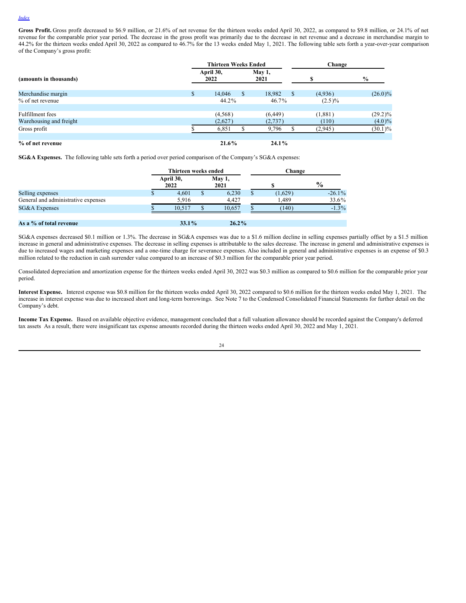#### *[Index](#page-0-0)*

**Gross Profit.** Gross profit decreased to \$6.9 million, or 21.6% of net revenue for the thirteen weeks ended April 30, 2022, as compared to \$9.8 million, or 24.1% of net revenue for the comparable prior year period. The decrease in the gross profit was primarily due to the decrease in net revenue and a decrease in merchandise margin to 44.2% for the thirteen weeks ended April 30, 2022 as compared to 46.7% for the 13 weeks ended May 1, 2021. The following table sets forth a year-over-year comparison of the Company's gross profit:

|                         |   | <b>Thirteen Weeks Ended</b> |   |                |               |           | Change        |  |  |
|-------------------------|---|-----------------------------|---|----------------|---------------|-----------|---------------|--|--|
| (amounts in thousands)  |   | April 30,<br>2022           |   | May 1,<br>2021 |               |           | $\frac{0}{0}$ |  |  |
| Merchandise margin      | S | 14,046                      | S | 18.982         | <sup>\$</sup> | (4,936)   | $(26.0)\%$    |  |  |
| $%$ of net revenue      |   | 44.2%                       |   | 46.7%          |               | $(2.5)\%$ |               |  |  |
|                         |   |                             |   |                |               |           |               |  |  |
| Fulfillment fees        |   | (4,568)                     |   | (6, 449)       |               | (1,881)   | $(29.2)\%$    |  |  |
| Warehousing and freight |   | (2,627)                     |   | (2,737)        |               | (110)     | $(4.0)\%$     |  |  |
| Gross profit            |   | 6,851                       |   | 9,796          |               | (2,945)   | $(30.1)\%$    |  |  |
|                         |   |                             |   |                |               |           |               |  |  |
| % of net revenue        |   | $21.6\%$                    |   | $24.1\%$       |               |           |               |  |  |

**SG&A Expenses.** The following table sets forth a period over period comparison of the Company's SG&A expenses:

|                                     | Thirteen weeks ended |                   |  |                | Change  |               |  |  |
|-------------------------------------|----------------------|-------------------|--|----------------|---------|---------------|--|--|
|                                     |                      | April 30,<br>2022 |  | May 1,<br>2021 |         | $\frac{6}{9}$ |  |  |
| Selling expenses                    | Φ                    | 4.601             |  | 6.230          | (1,629) | $-26.1\%$     |  |  |
| General and administrative expenses |                      | 5.916             |  | 4.427          | 1.489   | 33.6%         |  |  |
| SG&A Expenses                       |                      | 10.517            |  | 10.657         | (140)   | $-1.3%$       |  |  |
|                                     |                      |                   |  |                |         |               |  |  |
| As a % of total revenue             |                      | $33.1\%$          |  | $26.2\%$       |         |               |  |  |

SG&A expenses decreased \$0.1 million or 1.3%. The decrease in SG&A expenses was due to a \$1.6 million decline in selling expenses partially offset by a \$1.5 million increase in general and administrative expenses. The decrease in selling expenses is attributable to the sales decrease. The increase in general and administrative expenses is due to increased wages and marketing expenses and a one-time charge for severance expenses. Also included in general and administrative expenses is an expense of \$0.3 million related to the reduction in cash surrender value compared to an increase of \$0.3 million for the comparable prior year period.

Consolidated depreciation and amortization expense for the thirteen weeks ended April 30, 2022 was \$0.3 million as compared to \$0.6 million for the comparable prior year period.

**Interest Expense.** Interest expense was \$0.8 million for the thirteen weeks ended April 30, 2022 compared to \$0.6 million for the thirteen weeks ended May 1, 2021. The increase in interest expense was due to increased short and long-term borrowings. See Note 7 to the Condensed Consolidated Financial Statements for further detail on the Company's debt.

**Income Tax Expense.** Based on available objective evidence, management concluded that a full valuation allowance should be recorded against the Company's deferred tax assets As a result, there were insignificant tax expense amounts recorded during the thirteen weeks ended April 30, 2022 and May 1, 2021.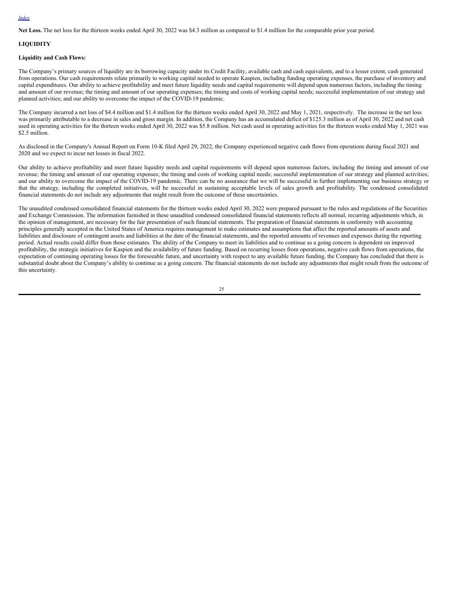**Net Loss.** The net loss for the thirteen weeks ended April 30, 2022 was \$4.3 million as compared to \$1.4 million for the comparable prior year period.

#### **LIQUIDITY**

#### **Liquidity and Cash Flows:**

The Company's primary sources of liquidity are its borrowing capacity under its Credit Facility, available cash and cash equivalents, and to a lesser extent, cash generated from operations. Our cash requirements relate primarily to working capital needed to operate Kaspien, including funding operating expenses, the purchase of inventory and capital expenditures. Our ability to achieve profitability and meet future liquidity needs and capital requirements will depend upon numerous factors, including the timing and amount of our revenue; the timing and amount of our operating expenses; the timing and costs of working capital needs; successful implementation of our strategy and planned activities; and our ability to overcome the impact of the COVID-19 pandemic.

The Company incurred a net loss of \$4.4 million and \$1.4 million for the thirteen weeks ended April 30, 2022 and May 1, 2021, respectively. The increase in the net loss was primarily attributable to a decrease in sales and gross margin. In addition, the Company has an accumulated deficit of \$125.3 million as of April 30, 2022 and net cash used in operating activities for the thirteen weeks ended April 30, 2022 was \$5.8 million. Net cash used in operating activities for the thirteen weeks ended May 1, 2021 was  $$2.5$  million.

As disclosed in the Company's Annual Report on Form 10-K filed April 29, 2022, the Company experienced negative cash flows from operations during fiscal 2021 and 2020 and we expect to incur net losses in fiscal 2022.

Our ability to achieve profitability and meet future liquidity needs and capital requirements will depend upon numerous factors, including the timing and amount of our revenue; the timing and amount of our operating expenses; the timing and costs of working capital needs; successful implementation of our strategy and planned activities; and our ability to overcome the impact of the COVID-19 pandemic. There can be no assurance that we will be successful in further implementing our business strategy or that the strategy, including the completed initiatives, will be successful in sustaining acceptable levels of sales growth and profitability. The condensed consolidated financial statements do not include any adjustments that might result from the outcome of these uncertainties.

The unaudited condensed consolidated financial statements for the thirteen weeks ended April 30, 2022 were prepared pursuant to the rules and regulations of the Securities and Exchange Commission. The information furnished in these unaudited condensed consolidated financial statements reflects all normal, recurring adjustments which, in the opinion of management, are necessary for the fair presentation of such financial statements. The preparation of financial statements in conformity with accounting principles generally accepted in the United States of America requires management to make estimates and assumptions that affect the reported amounts of assets and liabilities and disclosure of contingent assets and liabilities at the date of the financial statements, and the reported amounts of revenues and expenses during the reporting period. Actual results could differ from those estimates. The ability of the Company to meet its liabilities and to continue as a going concern is dependent on improved profitability, the strategic initiatives for Kaspien and the availability of future funding. Based on recurring losses from operations, negative cash flows from operations, the expectation of continuing operating losses for the foreseeable future, and uncertainty with respect to any available future funding, the Company has concluded that there is substantial doubt about the Company's ability to continue as a going concern. The financial statements do not include any adjustments that might result from the outcome of this uncertainty.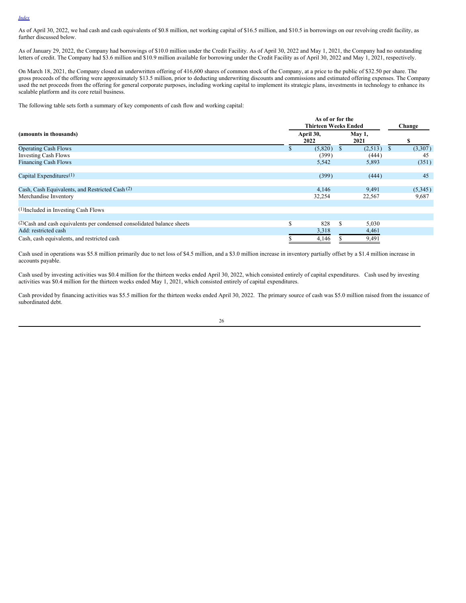As of April 30, 2022, we had cash and cash equivalents of \$0.8 million, net working capital of \$16.5 million, and \$10.5 in borrowings on our revolving credit facility, as further discussed below.

As of January 29, 2022, the Company had borrowings of \$10.0 million under the Credit Facility. As of April 30, 2022 and May 1, 2021, the Company had no outstanding letters of credit. The Company had \$3.6 million and \$10.9 million available for borrowing under the Credit Facility as of April 30, 2022 and May 1, 2021, respectively.

On March 18, 2021, the Company closed an underwritten offering of 416,600 shares of common stock of the Company, at a price to the public of \$32.50 per share. The gross proceeds of the offering were approximately \$13.5 million, prior to deducting underwriting discounts and commissions and estimated offering expenses. The Company used the net proceeds from the offering for general corporate purposes, including working capital to implement its strategic plans, investments in technology to enhance its scalable platform and its core retail business.

The following table sets forth a summary of key components of cash flow and working capital:

|                                                                           | As of or for the<br><b>Thirteen Weeks Ended</b> |                   |   |                |         |  |
|---------------------------------------------------------------------------|-------------------------------------------------|-------------------|---|----------------|---------|--|
| (amounts in thousands)                                                    |                                                 | April 30,<br>2022 |   | May 1,<br>2021 | S       |  |
| <b>Operating Cash Flows</b>                                               | ъ                                               | (5,820)           |   | (2,513)        | (3,307) |  |
| <b>Investing Cash Flows</b>                                               |                                                 | (399)             |   | (444)          | 45      |  |
| <b>Financing Cash Flows</b>                                               |                                                 | 5,542             |   | 5,893          | (351)   |  |
| Capital Expenditures <sup>(1)</sup>                                       |                                                 | (399)             |   | (444)          | 45      |  |
| Cash, Cash Equivalents, and Restricted Cash (2)                           |                                                 | 4,146             |   | 9,491          | (5,345) |  |
| Merchandise Inventory                                                     |                                                 | 32,254            |   | 22,567         | 9,687   |  |
| $(1)$ Included in Investing Cash Flows                                    |                                                 |                   |   |                |         |  |
| $(2)$ Cash and cash equivalents per condensed consolidated balance sheets | \$                                              | 828               | S | 5,030          |         |  |
| Add: restricted cash                                                      |                                                 | 3,318             |   | 4,461          |         |  |
| Cash, cash equivalents, and restricted cash                               |                                                 | 4,146             |   | 9,491          |         |  |

Cash used in operations was \$5.8 million primarily due to net loss of \$4.5 million, and a \$3.0 million increase in inventory partially offset by a \$1.4 million increase in accounts payable.

Cash used by investing activities was \$0.4 million for the thirteen weeks ended April 30, 2022, which consisted entirely of capital expenditures. Cash used by investing activities was \$0.4 million for the thirteen weeks ended May 1, 2021, which consisted entirely of capital expenditures.

Cash provided by financing activities was \$5.5 million for the thirteen weeks ended April 30, 2022. The primary source of cash was \$5.0 million raised from the issuance of subordinated debt.

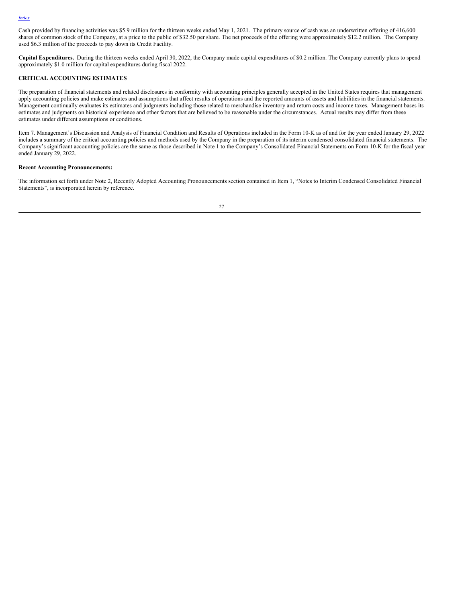Cash provided by financing activities was \$5.9 million for the thirteen weeks ended May 1, 2021. The primary source of cash was an underwritten offering of 416,600 shares of common stock of the Company, at a price to the public of \$32.50 per share. The net proceeds of the offering were approximately \$12.2 million. The Company used \$6.3 million of the proceeds to pay down its Credit Facility.

**Capital Expenditures.** During the thirteen weeks ended April 30, 2022, the Company made capital expenditures of \$0.2 million. The Company currently plans to spend approximately \$1.0 million for capital expenditures during fiscal 2022.

#### **CRITICAL ACCOUNTING ESTIMATES**

The preparation of financial statements and related disclosures in conformity with accounting principles generally accepted in the United States requires that management apply accounting policies and make estimates and assumptions that affect results of operations and the reported amounts of assets and liabilities in the financial statements. Management continually evaluates its estimates and judgments including those related to merchandise inventory and return costs and income taxes. Management bases its estimates and judgments on historical experience and other factors that are believed to be reasonable under the circumstances. Actual results may differ from these estimates under different assumptions or conditions.

Item 7. Management's Discussion and Analysis of Financial Condition and Results of Operations included in the Form 10-K as of and for the year ended January 29, 2022 includes a summary of the critical accounting policies and methods used by the Company in the preparation of its interim condensed consolidated financial statements. The Company's significant accounting policies are the same as those described in Note 1 to the Company's Consolidated Financial Statements on Form 10-K for the fiscal year ended January 29, 2022.

#### **Recent Accounting Pronouncements:**

The information set forth under Note 2, Recently Adopted Accounting Pronouncements section contained in Item 1, "Notes to Interim Condensed Consolidated Financial Statements", is incorporated herein by reference.

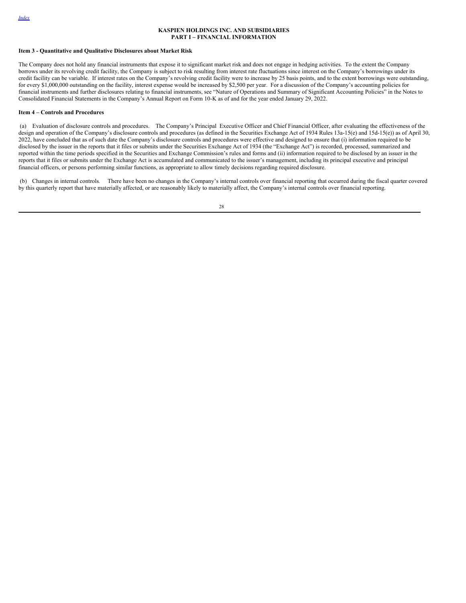#### **KASPIEN HOLDINGS INC. AND SUBSIDIARIES PART I – FINANCIAL INFORMATION**

## **Item 3 - Quantitative and Qualitative Disclosures about Market Risk**

The Company does not hold any financial instruments that expose it to significant market risk and does not engage in hedging activities. To the extent the Company borrows under its revolving credit facility, the Company is subject to risk resulting from interest rate fluctuations since interest on the Company's borrowings under its credit facility can be variable. If interest rates on the Company's revolving credit facility were to increase by 25 basis points, and to the extent borrowings were outstanding, for every \$1,000,000 outstanding on the facility, interest expense would be increased by \$2,500 per year. For a discussion of the Company's accounting policies for financial instruments and further disclosures relating to financial instruments, see "Nature of Operations and Summary of Significant Accounting Policies" in the Notes to Consolidated Financial Statements in the Company's Annual Report on Form 10-K as of and for the year ended January 29, 2022.

## **Item 4 – Controls and Procedures**

(a) Evaluation of disclosure controls and procedures. The Company's Principal Executive Officer and Chief Financial Officer, after evaluating the effectiveness of the design and operation of the Company's disclosure controls and procedures (as defined in the Securities Exchange Act of 1934 Rules 13a-15(e) and 15d-15(e)) as of April 30, 2022, have concluded that as of such date the Company's disclosure controls and procedures were effective and designed to ensure that (i) information required to be disclosed by the issuer in the reports that it files or submits under the Securities Exchange Act of 1934 (the "Exchange Act") is recorded, processed, summarized and reported within the time periods specified in the Securities and Exchange Commission's rules and forms and (ii) information required to be disclosed by an issuer in the reports that it files or submits under the Exchange Act is accumulated and communicated to the issuer's management, including its principal executive and principal financial officers, or persons performing similar functions, as appropriate to allow timely decisions regarding required disclosure.

(b) Changes in internal controls*.* There have been no changes in the Company's internal controls over financial reporting that occurred during the fiscal quarter covered by this quarterly report that have materially affected, or are reasonably likely to materially affect, the Company's internal controls over financial reporting.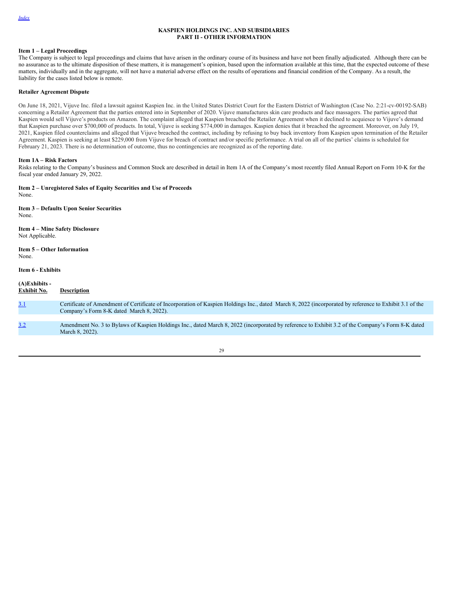#### **KASPIEN HOLDINGS INC. AND SUBSIDIARIES PART II - OTHER INFORMATION**

## <span id="page-28-0"></span>**Item 1 – Legal Proceedings**

The Company is subject to legal proceedings and claims that have arisen in the ordinary course of its business and have not been finally adjudicated. Although there can be no assurance as to the ultimate disposition of these matters, it is management's opinion, based upon the information available at this time, that the expected outcome of these matters, individually and in the aggregate, will not have a material adverse effect on the results of operations and financial condition of the Company. As a result, the liability for the cases listed below is remote.

## **Retailer Agreement Dispute**

On June 18, 2021, Vijuve Inc. filed a lawsuit against Kaspien Inc. in the United States District Court for the Eastern District of Washington (Case No. 2:21-cv-00192-SAB) concerning a Retailer Agreement that the parties entered into in September of 2020. Vijuve manufactures skin care products and face massagers. The parties agreed that Kaspien would sell Vijuve's products on Amazon. The complaint alleged that Kaspien breached the Retailer Agreement when it declined to acquiesce to Vijuve's demand that Kaspien purchase over \$700,000 of products. In total, Vijuve is seeking \$774,000 in damages. Kaspien denies that it breached the agreement. Moreover, on July 19, 2021, Kaspien filed counterclaims and alleged that Vijuve breached the contract, including by refusing to buy back inventory from Kaspien upon termination of the Retailer Agreement. Kaspien is seeking at least \$229,000 from Vijuve for breach of contract and/or specific performance. A trial on all of the parties' claims is scheduled for February 21, 2023. There is no determination of outcome, thus no contingencies are recognized as of the reporting date.

## <span id="page-28-1"></span>**Item 1A – Risk Factors**

Risks relating to the Company's business and Common Stock are described in detail in Item 1A of the Company's most recently filed Annual Report on Form 10-K for the fiscal year ended January 29, 2022.

## <span id="page-28-2"></span>**Item 2 – Unregistered Sales of Equity Securities and Use of Proceeds**

None.

<span id="page-28-3"></span>**Item 3 – Defaults Upon Senior Securities** None.

<span id="page-28-4"></span>**Item 4 – Mine Safety Disclosure** Not Applicable.

<span id="page-28-5"></span>**Item 5 – Other Information** None.

## <span id="page-28-6"></span>**Item 6 - Exhibits**

| $(A)$ Exhibits -<br>Exhibit No. | <b>Description</b>                                                                                                                                                                                  |
|---------------------------------|-----------------------------------------------------------------------------------------------------------------------------------------------------------------------------------------------------|
| <u>3.1</u>                      | Certificate of Amendment of Certificate of Incorporation of Kaspien Holdings Inc., dated March 8, 2022 (incorporated by reference to Exhibit 3.1 of the<br>Company's Form 8-K dated March 8, 2022). |
|                                 |                                                                                                                                                                                                     |
| 3.2                             | Amendment No. 3 to Bylaws of Kaspien Holdings Inc., dated March 8, 2022 (incorporated by reference to Exhibit 3.2 of the Company's Form 8-K dated<br>March 8, 2022).                                |

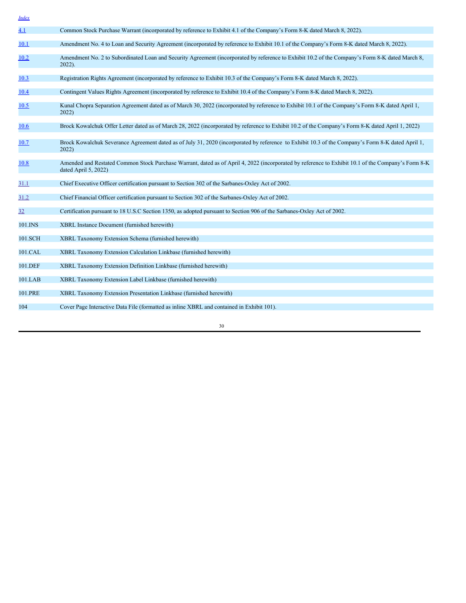*[Index](#page-0-0)*

| 4.1     | Common Stock Purchase Warrant (incorporated by reference to Exhibit 4.1 of the Company's Form 8-K dated March 8, 2022).                                                     |
|---------|-----------------------------------------------------------------------------------------------------------------------------------------------------------------------------|
| 10.1    | Amendment No. 4 to Loan and Security Agreement (incorporated by reference to Exhibit 10.1 of the Company's Form 8-K dated March 8, 2022).                                   |
| 10.2    | Amendment No. 2 to Subordinated Loan and Security Agreement (incorporated by reference to Exhibit 10.2 of the Company's Form 8-K dated March 8,<br>$2022$ ).                |
| 10.3    | Registration Rights Agreement (incorporated by reference to Exhibit 10.3 of the Company's Form 8-K dated March 8, 2022).                                                    |
| 10.4    | Contingent Values Rights Agreement (incorporated by reference to Exhibit 10.4 of the Company's Form 8-K dated March 8, 2022).                                               |
| 10.5    | Kunal Chopra Separation Agreement dated as of March 30, 2022 (incorporated by reference to Exhibit 10.1 of the Company's Form 8-K dated April 1,<br>2022)                   |
| 10.6    | Brock Kowalchuk Offer Letter dated as of March 28, 2022 (incorporated by reference to Exhibit 10.2 of the Company's Form 8-K dated April 1, 2022)                           |
| 10.7    | Brock Kowalchuk Severance Agreement dated as of July 31, 2020 (incorporated by reference to Exhibit 10.3 of the Company's Form 8-K dated April 1,<br>2022)                  |
| 10.8    | Amended and Restated Common Stock Purchase Warrant, dated as of April 4, 2022 (incorporated by reference to Exhibit 10.1 of the Company's Form 8-K<br>dated April $5, 2022$ |
| 31.1    | Chief Executive Officer certification pursuant to Section 302 of the Sarbanes-Oxley Act of 2002.                                                                            |
| 31.2    | Chief Financial Officer certification pursuant to Section 302 of the Sarbanes-Oxley Act of 2002.                                                                            |
| 32      | Certification pursuant to 18 U.S.C Section 1350, as adopted pursuant to Section 906 of the Sarbanes-Oxley Act of 2002.                                                      |
| 101.INS | XBRL Instance Document (furnished herewith)                                                                                                                                 |
| 101.SCH | XBRL Taxonomy Extension Schema (furnished herewith)                                                                                                                         |
| 101.CAL | XBRL Taxonomy Extension Calculation Linkbase (furnished herewith)                                                                                                           |
| 101.DEF | XBRL Taxonomy Extension Definition Linkbase (furnished herewith)                                                                                                            |
| 101.LAB | XBRL Taxonomy Extension Label Linkbase (furnished herewith)                                                                                                                 |
| 101.PRE | XBRL Taxonomy Extension Presentation Linkbase (furnished herewith)                                                                                                          |
| 104     | Cover Page Interactive Data File (formatted as inline XBRL and contained in Exhibit 101).                                                                                   |
|         |                                                                                                                                                                             |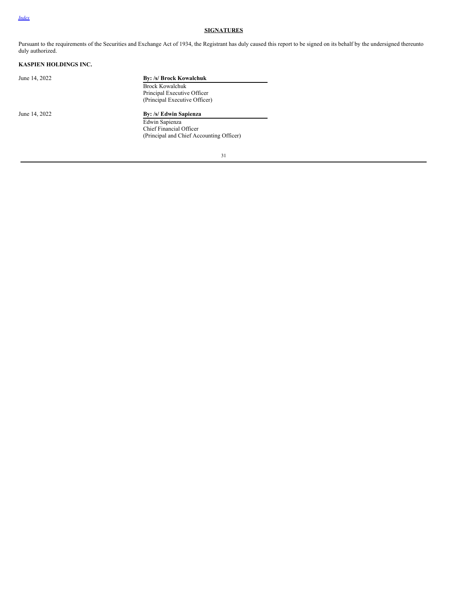## *[Index](#page-0-0)*

## **SIGNATURES**

Pursuant to the requirements of the Securities and Exchange Act of 1934, the Registrant has duly caused this report to be signed on its behalf by the undersigned thereunto duly authorized.

## **KASPIEN HOLDINGS INC.**

| June 14, 2022 | By: /s/ Brock Kowalchuk                  |
|---------------|------------------------------------------|
|               | <b>Brock Kowalchuk</b>                   |
|               | Principal Executive Officer              |
|               | (Principal Executive Officer)            |
| June 14, 2022 | By: /s/ Edwin Sapienza                   |
|               | Edwin Sapienza                           |
|               | Chief Financial Officer                  |
|               | (Principal and Chief Accounting Officer) |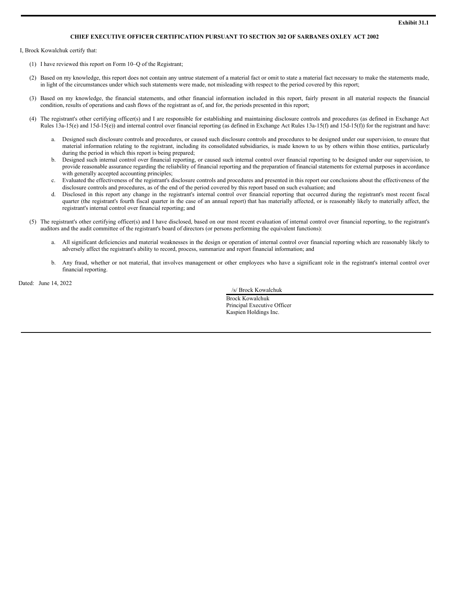## **CHIEF EXECUTIVE OFFICER CERTIFICATION PURSUANT TO SECTION 302 OF SARBANES OXLEY ACT 2002**

<span id="page-31-0"></span>I, Brock Kowalchuk certify that:

- (1) I have reviewed this report on Form 10–Q of the Registrant;
- (2) Based on my knowledge, this report does not contain any untrue statement of a material fact or omit to state a material fact necessary to make the statements made, in light of the circumstances under which such statements were made, not misleading with respect to the period covered by this report;
- (3) Based on my knowledge, the financial statements, and other financial information included in this report, fairly present in all material respects the financial condition, results of operations and cash flows of the registrant as of, and for, the periods presented in this report;
- (4) The registrant's other certifying officer(s) and I are responsible for establishing and maintaining disclosure controls and procedures (as defined in Exchange Act Rules 13a-15(e) and 15d-15(e)) and internal control over financial reporting (as defined in Exchange Act Rules 13a-15(f) and 15d-15(f)) for the registrant and have:
	- a. Designed such disclosure controls and procedures, or caused such disclosure controls and procedures to be designed under our supervision, to ensure that material information relating to the registrant, including its consolidated subsidiaries, is made known to us by others within those entities, particularly during the period in which this report is being prepared;
	- b. Designed such internal control over financial reporting, or caused such internal control over financial reporting to be designed under our supervision, to provide reasonable assurance regarding the reliability of financial reporting and the preparation of financial statements for external purposes in accordance with generally accepted accounting principles;
	- c. Evaluated the effectiveness of the registrant's disclosure controls and procedures and presented in this report our conclusions about the effectiveness of the disclosure controls and procedures, as of the end of the period covered by this report based on such evaluation; and
	- d. Disclosed in this report any change in the registrant's internal control over financial reporting that occurred during the registrant's most recent fiscal quarter (the registrant's fourth fiscal quarter in the case of an annual report) that has materially affected, or is reasonably likely to materially affect, the registrant's internal control over financial reporting; and
- (5) The registrant's other certifying officer(s) and I have disclosed, based on our most recent evaluation of internal control over financial reporting, to the registrant's auditors and the audit committee of the registrant's board of directors (or persons performing the equivalent functions):
	- a. All significant deficiencies and material weaknesses in the design or operation of internal control over financial reporting which are reasonably likely to adversely affect the registrant's ability to record, process, summarize and report financial information; and
	- b. Any fraud, whether or not material, that involves management or other employees who have a significant role in the registrant's internal control over financial reporting.

Dated: June 14, 2022

/s/ Brock Kowalchuk

Brock Kowalchuk Principal Executive Officer Kaspien Holdings Inc.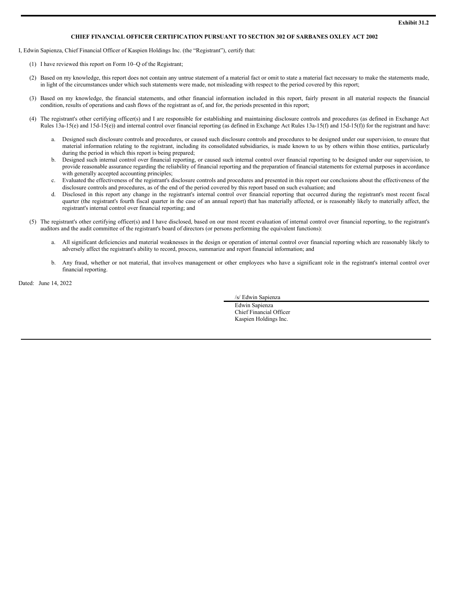## **CHIEF FINANCIAL OFFICER CERTIFICATION PURSUANT TO SECTION 302 OF SARBANES OXLEY ACT 2002**

<span id="page-32-0"></span>I, Edwin Sapienza, Chief Financial Officer of Kaspien Holdings Inc. (the "Registrant"), certify that:

- (1) I have reviewed this report on Form 10–Q of the Registrant;
- (2) Based on my knowledge, this report does not contain any untrue statement of a material fact or omit to state a material fact necessary to make the statements made, in light of the circumstances under which such statements were made, not misleading with respect to the period covered by this report;
- (3) Based on my knowledge, the financial statements, and other financial information included in this report, fairly present in all material respects the financial condition, results of operations and cash flows of the registrant as of, and for, the periods presented in this report;
- (4) The registrant's other certifying officer(s) and I are responsible for establishing and maintaining disclosure controls and procedures (as defined in Exchange Act Rules 13a-15(e) and 15d-15(e)) and internal control over financial reporting (as defined in Exchange Act Rules 13a-15(f) and 15d-15(f)) for the registrant and have:
	- a. Designed such disclosure controls and procedures, or caused such disclosure controls and procedures to be designed under our supervision, to ensure that material information relating to the registrant, including its consolidated subsidiaries, is made known to us by others within those entities, particularly during the period in which this report is being prepared;
	- b. Designed such internal control over financial reporting, or caused such internal control over financial reporting to be designed under our supervision, to provide reasonable assurance regarding the reliability of financial reporting and the preparation of financial statements for external purposes in accordance with generally accepted accounting principles;
	- c. Evaluated the effectiveness of the registrant's disclosure controls and procedures and presented in this report our conclusions about the effectiveness of the disclosure controls and procedures, as of the end of the period covered by this report based on such evaluation; and
	- d. Disclosed in this report any change in the registrant's internal control over financial reporting that occurred during the registrant's most recent fiscal quarter (the registrant's fourth fiscal quarter in the case of an annual report) that has materially affected, or is reasonably likely to materially affect, the registrant's internal control over financial reporting; and
- (5) The registrant's other certifying officer(s) and I have disclosed, based on our most recent evaluation of internal control over financial reporting, to the registrant's auditors and the audit committee of the registrant's board of directors (or persons performing the equivalent functions):
	- a. All significant deficiencies and material weaknesses in the design or operation of internal control over financial reporting which are reasonably likely to adversely affect the registrant's ability to record, process, summarize and report financial information; and
	- b. Any fraud, whether or not material, that involves management or other employees who have a significant role in the registrant's internal control over financial reporting.

Dated: June 14, 2022

/s/ Edwin Sapienza

Edwin Sapienza Chief Financial Officer Kaspien Holdings Inc.